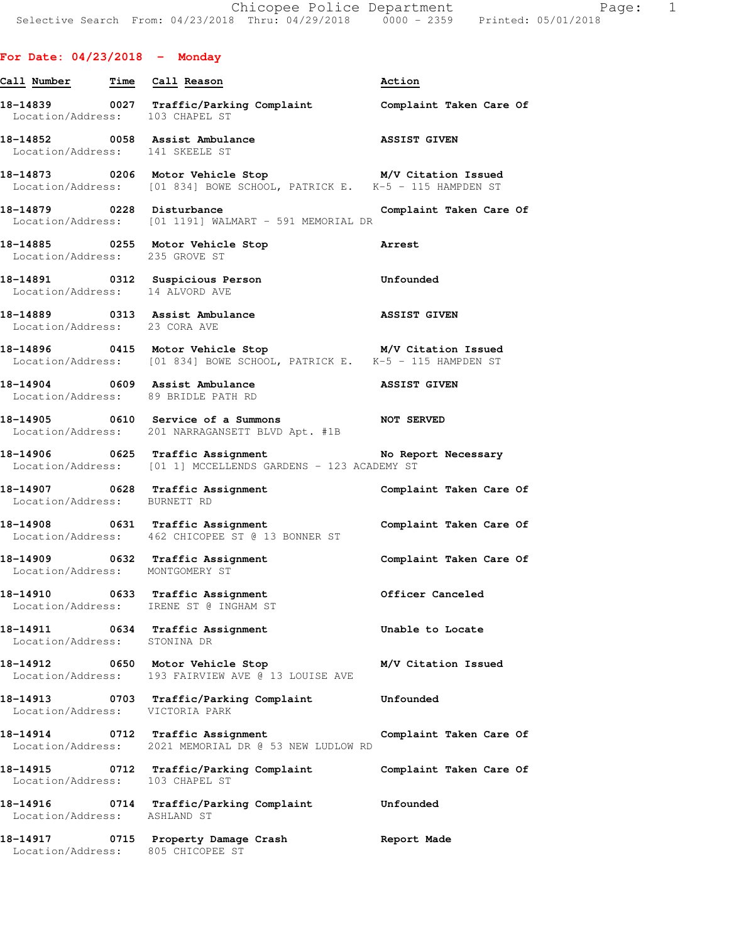## **For Date: 04/23/2018 - Monday**

| Call Number Time Call Reason             |                                                                                                                                       | Action                  |
|------------------------------------------|---------------------------------------------------------------------------------------------------------------------------------------|-------------------------|
|                                          | 18-14839 0027 Traffic/Parking Complaint Complaint Taken Care Of Location/Address: 103 CHAPEL ST                                       |                         |
|                                          | 18-14852 0058 Assist Ambulance ASSIST GIVEN Location/Address: 141 SKEELE ST                                                           |                         |
|                                          | 18-14873 0206 Motor Vehicle Stop M/V Citation Issued<br>Location/Address: [01 834] BOWE SCHOOL, PATRICK E. K-5 - 115 HAMPDEN ST       | M/V Citation Issued     |
| 18-14879 0228 Disturbance                | Location/Address: [01 1191] WALMART - 591 MEMORIAL DR                                                                                 | Complaint Taken Care Of |
| Location/Address: 235 GROVE ST           | 18-14885 0255 Motor Vehicle Stop                                                                                                      | <b>Arrest</b>           |
| Location/Address: 14 ALVORD AVE          | 18-14891   0312 Suspicious Person   00 Unfounded                                                                                      |                         |
| Location/Address: 23 CORA AVE            | 18-14889 0313 Assist Ambulance                                                                                                        | <b>ASSIST GIVEN</b>     |
|                                          | 18-14896 		 0415 Motor Vehicle Stop 		 M/V Citation Issued<br>Location/Address: [01 834] BOWE SCHOOL, PATRICK E. K-5 - 115 HAMPDEN ST |                         |
|                                          | 18-14904 0609 Assist Ambulance 1988 ASSIST GIVEN<br>Location/Address: 89 BRIDLE PATH RD                                               |                         |
|                                          | 18-14905 0610 Service of a Summons NOT SERVED<br>Location/Address: 201 NARRAGANSETT BLVD Apt. #1B                                     |                         |
|                                          | 18-14906 0625 Traffic Assignment No Rep<br>Location/Address: [01 1] MCCELLENDS GARDENS - 123 ACADEMY ST                               | No Report Necessary     |
|                                          | 18-14907 0628 Traffic Assignment<br>Location/Address: BURNETT RD                                                                      | Complaint Taken Care Of |
|                                          | 18-14908 0631 Traffic Assignment<br>Location/Address: 462 CHICOPEE ST @ 13 BONNER ST                                                  | Complaint Taken Care Of |
| Location/Address: MONTGOMERY ST          | 18-14909 0632 Traffic Assignment                                                                                                      | Complaint Taken Care Of |
|                                          | 18-14910 0633 Traffic Assignment Officer Canceled<br>Location/Address: IRENE ST @ INGHAM ST                                           |                         |
| 18-14911<br>Location/Address: STONINA DR | 0634 Traffic Assignment                                                                                                               | Unable to Locate        |
|                                          | 18-14912 0650 Motor Vehicle Stop<br>Location/Address: 193 FAIRVIEW AVE @ 13 LOUISE AVE                                                | M/V Citation Issued     |
|                                          | 18-14913 0703 Traffic/Parking Complaint<br>Location/Address: VICTORIA PARK                                                            | Unfounded               |
|                                          | 18-14914 0712 Traffic Assignment<br>Location/Address: 2021 MEMORIAL DR @ 53 NEW LUDLOW RD                                             | Complaint Taken Care Of |
|                                          | 18-14915 0712 Traffic/Parking Complaint<br>Location/Address: 103 CHAPEL ST                                                            | Complaint Taken Care Of |
| 18-14916<br>Location/Address: ASHLAND ST | 0714 Traffic/Parking Complaint                                                                                                        | Unfounded               |
| Location/Address:                        | 18-14917 0715 Property Damage Crash<br>805 CHICOPEE ST                                                                                | Report Made             |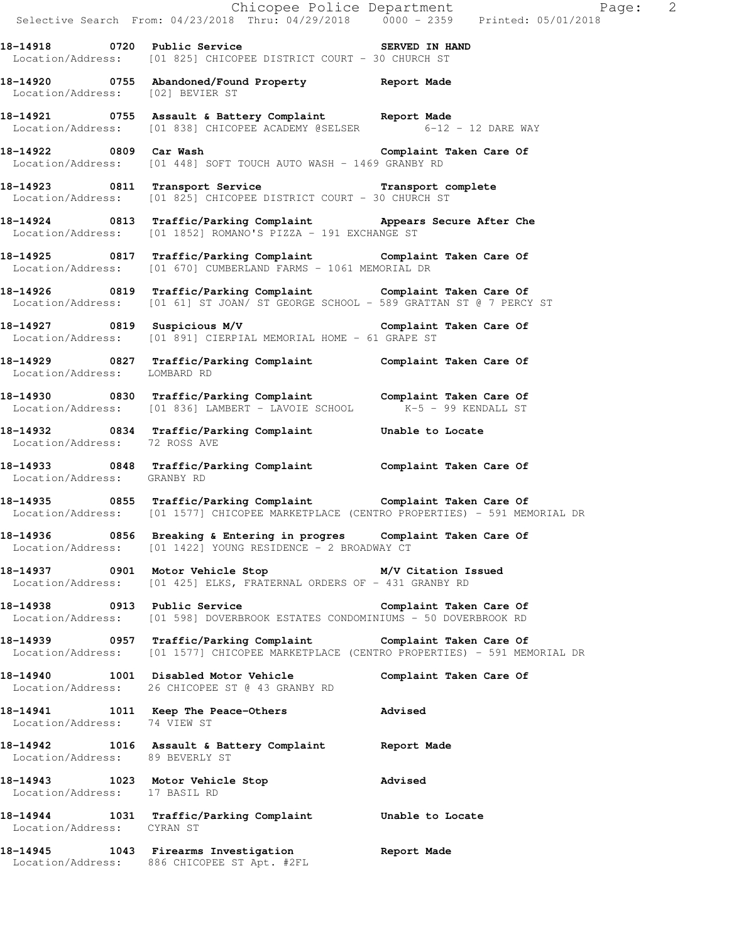Chicopee Police Department Page: 2 Selective Search From: 04/23/2018 Thru: 04/29/2018 0000 - 2359 Printed: 05/01/2018 **18-14918 0720 Public Service SERVED IN HAND**  Location/Address: [01 825] CHICOPEE DISTRICT COURT - 30 CHURCH ST **18-14920 0755 Abandoned/Found Property Report Made**  Location/Address: [02] BEVIER ST **18-14921 0755 Assault & Battery Complaint Report Made**  Location/Address: [01 838] CHICOPEE ACADEMY @SELSER 6-12 - 12 DARE WAY **18-14922 0809 Car Wash Complaint Taken Care Of**  Location/Address: [01 448] SOFT TOUCH AUTO WASH - 1469 GRANBY RD **18-14923 0811 Transport Service Transport complete**  Location/Address: [01 825] CHICOPEE DISTRICT COURT - 30 CHURCH ST **18-14924 0813 Traffic/Parking Complaint Appears Secure After Che**  Location/Address: [01 1852] ROMANO'S PIZZA - 191 EXCHANGE ST **18-14925 0817 Traffic/Parking Complaint Complaint Taken Care Of**  Location/Address: [01 670] CUMBERLAND FARMS - 1061 MEMORIAL DR **18-14926 0819 Traffic/Parking Complaint Complaint Taken Care Of**  Location/Address: [01 61] ST JOAN/ ST GEORGE SCHOOL - 589 GRATTAN ST @ 7 PERCY ST **18-14927 0819 Suspicious M/V Complaint Taken Care Of**  Location/Address: [01 891] CIERPIAL MEMORIAL HOME - 61 GRAPE ST **18-14929 0827 Traffic/Parking Complaint Complaint Taken Care Of**  Location/Address: LOMBARD RD **18-14930 0830 Traffic/Parking Complaint Complaint Taken Care Of <br>Location/Address:** [01 836] LAMBERT - LAVOIE SCHOOL K-5 - 99 KENDALL ST Location/Address: [01 836] LAMBERT - LAVOIE SCHOOL **18-14932 0834 Traffic/Parking Complaint Unable to Locate**  Location/Address: 72 ROSS AVE **18-14933 0848 Traffic/Parking Complaint Complaint Taken Care Of**  Location/Address: GRANBY RD **18-14935 0855 Traffic/Parking Complaint Complaint Taken Care Of**  Location/Address: [01 1577] CHICOPEE MARKETPLACE (CENTRO PROPERTIES) - 591 MEMORIAL DR **18-14936 0856 Breaking & Entering in progres Complaint Taken Care Of**  Location/Address: [01 1422] YOUNG RESIDENCE - 2 BROADWAY CT **18-14937 0901 Motor Vehicle Stop M/V Citation Issued**  Location/Address: [01 425] ELKS, FRATERNAL ORDERS OF - 431 GRANBY RD **18-14938 0913 Public Service Complaint Taken Care Of**  Location/Address: [01 598] DOVERBROOK ESTATES CONDOMINIUMS - 50 DOVERBROOK RD **18-14939 0957 Traffic/Parking Complaint Complaint Taken Care Of**  Location/Address: [01 1577] CHICOPEE MARKETPLACE (CENTRO PROPERTIES) - 591 MEMORIAL DR **18-14940 1001 Disabled Motor Vehicle Complaint Taken Care Of**  Location/Address: 26 CHICOPEE ST @ 43 GRANBY RD **18-14941 1011 Keep The Peace-Others Advised**  Location/Address: 74 VIEW ST **18-14942 1016 Assault & Battery Complaint Report Made**  Location/Address: 89 BEVERLY ST **18-14943 1023 Motor Vehicle Stop Advised**  Location/Address: 17 BASIL RD **18-14944 1031 Traffic/Parking Complaint Unable to Locate**  Location/Address: CYRAN ST **18-14945 1043 Firearms Investigation Report Made**  Location/Address: 886 CHICOPEE ST Apt. #2FL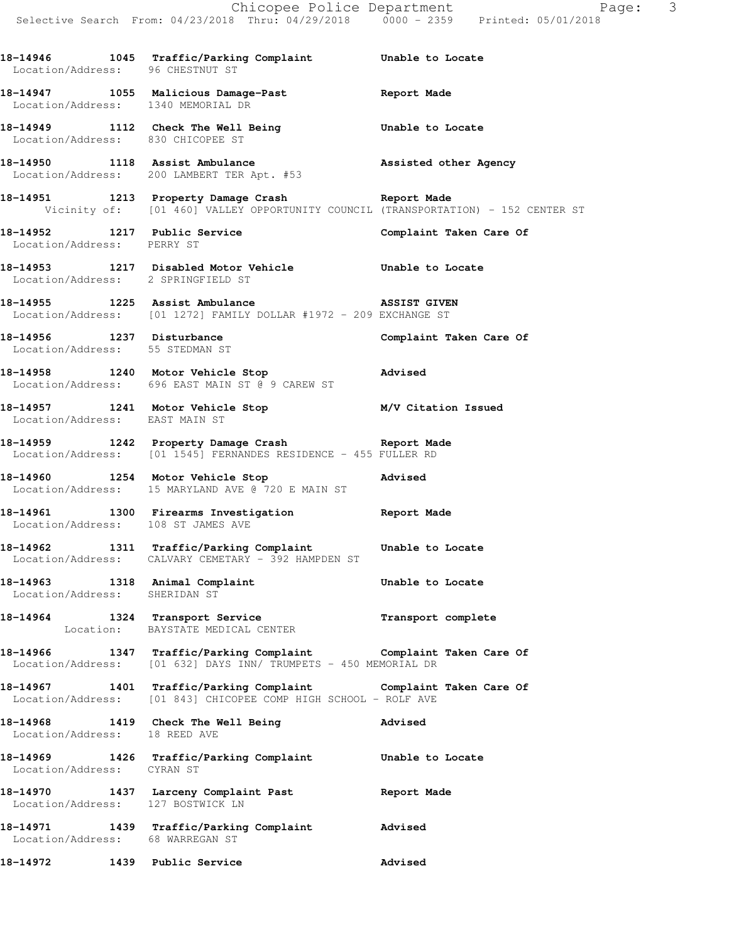**18-14946 1045 Traffic/Parking Complaint Unable to Locate**  Location/Address: 96 CHESTNUT ST

**18-14947 1055 Malicious Damage-Past Report Made**  Location/Address: 1340 MEMORIAL DR

**18-14949 1112 Check The Well Being Unable to Locate**  Location/Address: 830 CHICOPEE ST

**18-14950 1118 Assist Ambulance Assisted other Agency**  Location/Address: 200 LAMBERT TER Apt. #53

**18-14951 1213 Property Damage Crash Report Made**  Vicinity of: [01 460] VALLEY OPPORTUNITY COUNCIL (TRANSPORTATION) - 152 CENTER ST

Location/Address: PERRY ST

**18-14953 1217 Disabled Motor Vehicle Unable to Locate**  Location/Address: 2 SPRINGFIELD ST

**18-14955 1225 Assist Ambulance ASSIST GIVEN**  Location/Address: [01 1272] FAMILY DOLLAR #1972 - 209 EXCHANGE ST

Location/Address: 55 STEDMAN ST

**18-14958 1240 Motor Vehicle Stop Advised**  Location/Address: 696 EAST MAIN ST @ 9 CAREW ST

**18-14957 1241 Motor Vehicle Stop M/V Citation Issued**  Location/Address: EAST MAIN ST

**18-14959 1242 Property Damage Crash Report Made**  Location/Address: [01 1545] FERNANDES RESIDENCE - 455 FULLER RD

**18-14960 1254 Motor Vehicle Stop Advised**  Location/Address: 15 MARYLAND AVE @ 720 E MAIN ST

**18-14961 1300 Firearms Investigation Report Made**  Location/Address: 108 ST JAMES AVE

**18-14962 1311 Traffic/Parking Complaint Unable to Locate**  Location/Address: CALVARY CEMETARY - 392 HAMPDEN ST

Location/Address: SHERIDAN ST

**18-14964 1324 Transport Service Transport complete**  Location: BAYSTATE MEDICAL CENTER

**18-14966 1347 Traffic/Parking Complaint Complaint Taken Care Of**  Location/Address: [01 632] DAYS INN/ TRUMPETS - 450 MEMORIAL DR

**18-14967 1401 Traffic/Parking Complaint Complaint Taken Care Of**  Location/Address: [01 843] CHICOPEE COMP HIGH SCHOOL - ROLF AVE

**18-14968 1419 Check The Well Being Advised**  Location/Address: 18 REED AVE

**18-14969 1426 Traffic/Parking Complaint Unable to Locate**  Location/Address: CYRAN ST

**18-14970 1437 Larceny Complaint Past Report Made**  Location/Address: 127 BOSTWICK LN **18-14971 1439 Traffic/Parking Complaint Advised**  Location/Address: 68 WARREGAN ST

**18-14972 1439 Public Service Advised** 

**18-14952 1217 Public Service Complaint Taken Care Of** 

18-14956 1237 Disturbance **1237 Disturbance** Complaint Taken Care Of

**18-14963 1318 Animal Complaint Unable to Locate**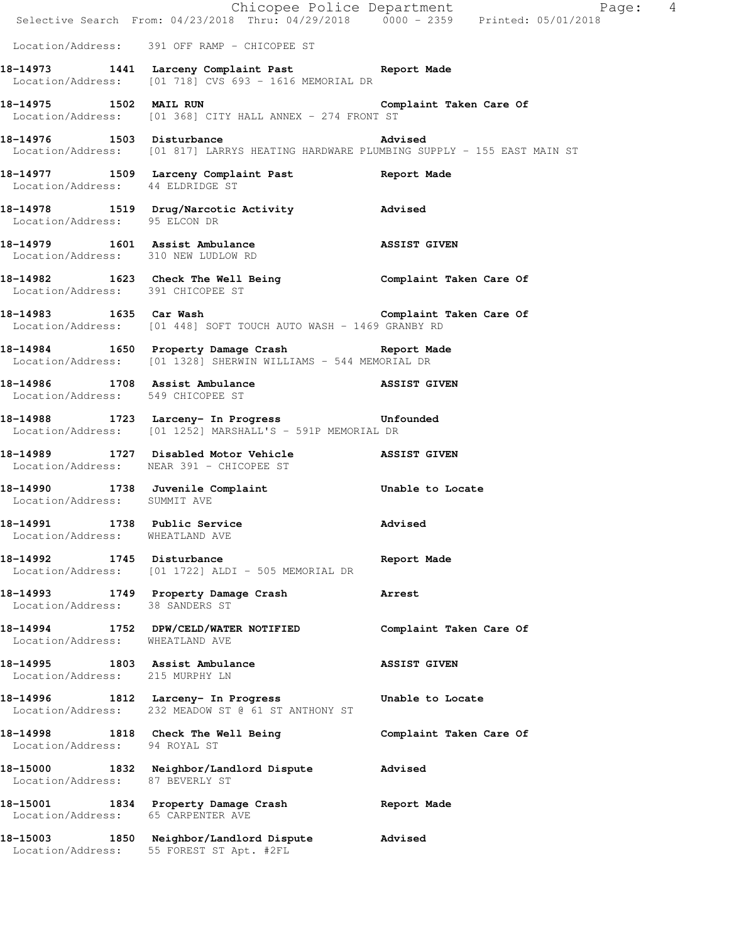|                                                                   | Chicopee Police Department<br>Selective Search From: 04/23/2018 Thru: 04/29/2018 0000 - 2359 Printed: 05/01/2018                                      | Page: 4                 |
|-------------------------------------------------------------------|-------------------------------------------------------------------------------------------------------------------------------------------------------|-------------------------|
|                                                                   |                                                                                                                                                       |                         |
|                                                                   | Location/Address: 391 OFF RAMP - CHICOPEE ST                                                                                                          |                         |
|                                                                   | 18-14973 1441 Larceny Complaint Past Report Made<br>Location/Address: [01 718] CVS 693 - 1616 MEMORIAL DR                                             |                         |
|                                                                   | 18-14975 1502 MAIL RUN <b>1888 1899 1899 1899 1899 1899 1899</b> Complaint Taken Care Of<br>Location/Address: [01 368] CITY HALL ANNEX - 274 FRONT ST |                         |
| 18-14976 1503 Disturbance                                         | Location/Address: [01 817] LARRYS HEATING HARDWARE PLUMBING SUPPLY - 155 EAST MAIN ST                                                                 | Advised                 |
|                                                                   | 18-14977 1509 Larceny Complaint Past Report Made<br>Location/Address: 44 ELDRIDGE ST                                                                  |                         |
|                                                                   | 18-14978 1519 Drug/Narcotic Activity <b>Advised</b><br>Location/Address: 95 ELCON DR                                                                  |                         |
| Location/Address: 310 NEW LUDLOW RD                               | 18-14979 1601 Assist Ambulance                                                                                                                        | <b>ASSIST GIVEN</b>     |
| Location/Address: 391 CHICOPEE ST                                 | 18-14982 1623 Check The Well Being Complaint Taken Care Of                                                                                            |                         |
|                                                                   | 18-14983 1635 Car Wash 18-14983 Complaint Taken Care Of<br>Location/Address: [01 448] SOFT TOUCH AUTO WASH - 1469 GRANBY RD                           |                         |
|                                                                   | 18-14984 1650 Property Damage Crash Report Made<br>Location/Address: [01 1328] SHERWIN WILLIAMS - 544 MEMORIAL DR                                     |                         |
| Location/Address: 549 CHICOPEE ST                                 | 18-14986 1708 Assist Ambulance Nassist Given                                                                                                          |                         |
|                                                                   | 18-14988 1723 Larceny- In Progress 18-14988<br>Location/Address: [01 1252] MARSHALL'S - 591P MEMORIAL DR                                              |                         |
|                                                                   | 18-14989 1727 Disabled Motor Vehicle NassiST GIVEN<br>Location/Address: NEAR 391 - CHICOPEE ST                                                        |                         |
| Location/Address: SUMMIT AVE                                      | 18-14990 1738 Juvenile Complaint 18-14990 100 1738                                                                                                    |                         |
| 18-14991<br>Location/Address: WHEATLAND AVE                       | 1738 Public Service                                                                                                                                   | Advised                 |
| 18-14992 1745 Disturbance                                         | Location/Address: [01 1722] ALDI - 505 MEMORIAL DR                                                                                                    | Report Made             |
|                                                                   | 18-14993 1749 Property Damage Crash<br>Location/Address: 38 SANDERS ST                                                                                | Arrest                  |
| Location/Address: WHEATLAND AVE                                   | 18-14994 1752 DPW/CELD/WATER NOTIFIED                                                                                                                 | Complaint Taken Care Of |
| 18-14995 1803 Assist Ambulance<br>Location/Address: 215 MURPHY LN |                                                                                                                                                       | <b>ASSIST GIVEN</b>     |
|                                                                   | 18-14996 1812 Larceny- In Progress<br>Location/Address: 232 MEADOW ST @ 61 ST ANTHONY ST                                                              | Unable to Locate        |
| Location/Address: 94 ROYAL ST                                     | 18-14998 1818 Check The Well Being                                                                                                                    | Complaint Taken Care Of |
| Location/Address: 87 BEVERLY ST                                   | 18-15000 1832 Neighbor/Landlord Dispute                                                                                                               | Advised                 |
| Location/Address: 65 CARPENTER AVE                                | 18-15001 1834 Property Damage Crash                                                                                                                   | Report Made             |
| 18-15003                                                          | 1850 Neighbor/Landlord Dispute<br>Location/Address: 55 FOREST ST Apt. #2FL                                                                            | Advised                 |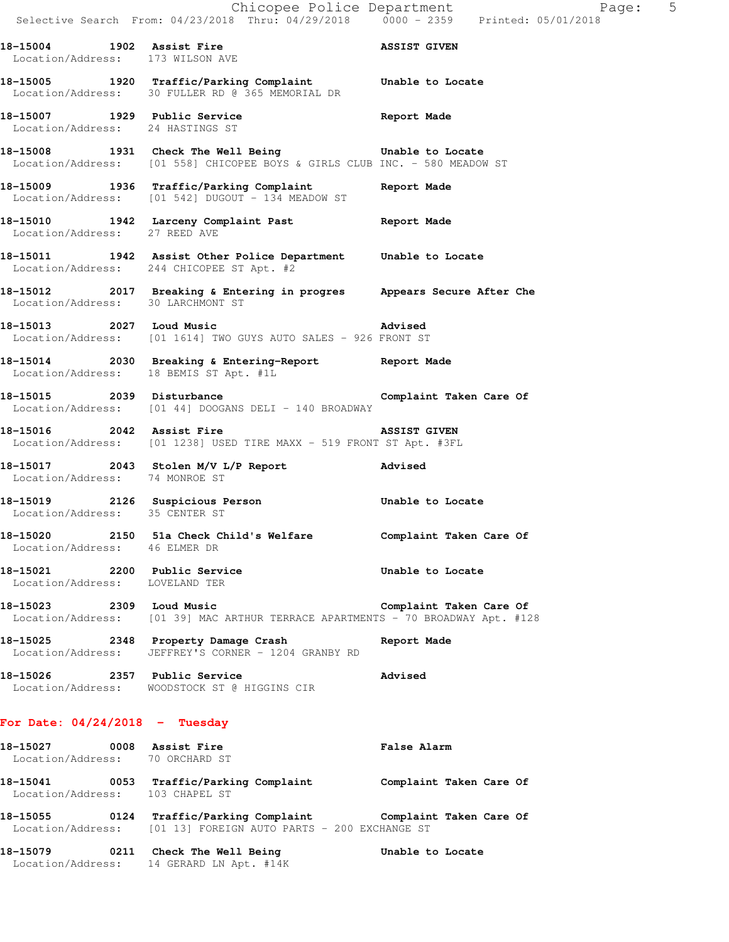**18-15004** 1902 Assist Fire **1902 Assist Film**  Location/Address: 173 WILSON AVE **18-15005 1920 Traffic/Parking Complaint Unable to Locate**  Location/Address: 30 FULLER RD @ 365 MEMORIAL DR **18-15007 1929 Public Service Report Made**  Location/Address: 24 HASTINGS ST **18-15008 1931 Check The Well Being Unable to Locate**  Location/Address: [01 558] CHICOPEE BOYS & GIRLS CLUB INC. - 580 MEADOW ST **18-15009 1936 Traffic/Parking Complaint Report Made**  Location/Address: [01 542] DUGOUT - 134 MEADOW ST **18-15010 1942 Larceny Complaint Past Report Made**  Location/Address: 27 REED AVE **18-15011 1942 Assist Other Police Department Unable to Locate**  Location/Address: 244 CHICOPEE ST Apt. #2 **18-15012 2017 Breaking & Entering in progres Appears Secure After Che**  Location/Address: 30 LARCHMONT ST **18-15013 2027 Loud Music Advised**  Location/Address: [01 1614] TWO GUYS AUTO SALES - 926 FRONT ST **18-15014 2030 Breaking & Entering-Report Report Made**  Location/Address: 18 BEMIS ST Apt. #1L 18-15015 2039 Disturbance **Complaint Taken Care Of** Location/Address: [01 44] DOOGANS DELI - 140 BROADWAY **18-15016 2042 Assist Fire ASSIST GIVEN**  Location/Address: [01 1238] USED TIRE MAXX - 519 FRONT ST Apt. #3FL **18-15017 2043 Stolen M/V L/P Report Advised**  Location/Address: 74 MONROE ST **18-15019 2126 Suspicious Person Unable to Locate**  Location/Address: 35 CENTER ST **18-15020 2150 51a Check Child's Welfare Complaint Taken Care Of**  Location/Address: 46 ELMER DR **18-15021 2200 Public Service Unable to Locate**  Location/Address: LOVELAND TER **18-15023 2309 Loud Music Complaint Taken Care Of**  Location/Address: [01 39] MAC ARTHUR TERRACE APARTMENTS - 70 BROADWAY Apt. #128 **18-15025 2348 Property Damage Crash Report Made**  Location/Address: JEFFREY'S CORNER - 1204 GRANBY RD **18-15026 2357 Public Service Advised**  Location/Address: WOODSTOCK ST @ HIGGINS CIR **For Date: 04/24/2018 - Tuesday 18-15027 0008 Assist Fire False Alarm** 

 Location/Address: 70 ORCHARD ST **18-15041 0053 Traffic/Parking Complaint Complaint Taken Care Of**  Location/Address: 103 CHAPEL ST **18-15055 0124 Traffic/Parking Complaint Complaint Taken Care Of**  Location/Address: [01 13] FOREIGN AUTO PARTS - 200 EXCHANGE ST

**18-15079 0211 Check The Well Being Unable to Locate**  Location/Address: 14 GERARD LN Apt. #14K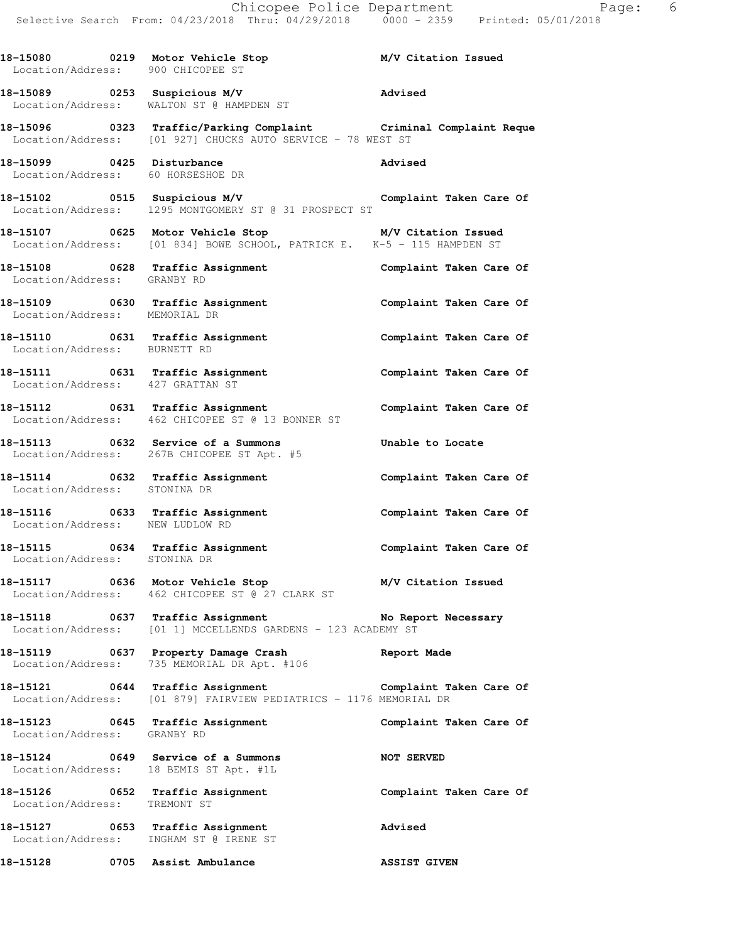**18-15080 0219 Motor Vehicle Stop M/V Citation Issued**  Location/Address: 900 CHICOPEE ST **18-15089 0253 Suspicious M/V Advised**  Location/Address: WALTON ST @ HAMPDEN ST **18-15096 0323 Traffic/Parking Complaint Criminal Complaint Reque**  Location/Address: [01 927] CHUCKS AUTO SERVICE - 78 WEST ST **18-15099 0425 Disturbance Advised**  Location/Address: 60 HORSESHOE DR **18-15102 0515 Suspicious M/V Complaint Taken Care Of**  Location/Address: 1295 MONTGOMERY ST @ 31 PROSPECT ST **18-15107 0625 Motor Vehicle Stop M/V Citation Issued**  Location/Address: [01 834] BOWE SCHOOL, PATRICK E. K-5 - 115 HAMPDEN ST **18-15108 0628 Traffic Assignment Complaint Taken Care Of**  Location/Address: GRANBY RD **18-15109 0630 Traffic Assignment Complaint Taken Care Of**  Location/Address: MEMORIAL DR **18-15110 0631 Traffic Assignment Complaint Taken Care Of**  Location/Address: BURNETT RD **18-15111 0631 Traffic Assignment Complaint Taken Care Of**  Location/Address: 427 GRATTAN ST **18-15112 0631 Traffic Assignment Complaint Taken Care Of**  Location/Address: 462 CHICOPEE ST @ 13 BONNER ST **18-15113 0632 Service of a Summons Unable to Locate**  Location/Address: 267B CHICOPEE ST Apt. #5 **18-15114 0632 Traffic Assignment Complaint Taken Care Of**  Location/Address: STONINA DR **18-15116 0633 Traffic Assignment Complaint Taken Care Of**  Location/Address: NEW LUDLOW RD 18-15115 **18-15115** 0634 Traffic Assignment **Complaint Taken Care Of**  Location/Address: STONINA DR **18-15117 0636 Motor Vehicle Stop M/V Citation Issued**  Location/Address: 462 CHICOPEE ST @ 27 CLARK ST **18-15118 0637 Traffic Assignment No Report Necessary**  Location/Address: [01 1] MCCELLENDS GARDENS - 123 ACADEMY ST **18-15119 0637 Property Damage Crash Report Made**  Location/Address: 735 MEMORIAL DR Apt. #106 **18-15121 0644 Traffic Assignment Complaint Taken Care Of**  Location/Address: [01 879] FAIRVIEW PEDIATRICS - 1176 MEMORIAL DR **18-15123 0645 Traffic Assignment Complaint Taken Care Of**  Location/Address: GRANBY RD **18-15124 0649 Service of a Summons NOT SERVED**  Location/Address: 18 BEMIS ST Apt. #1L **18-15126 0652 Traffic Assignment Complaint Taken Care Of**  Location/Address: TREMONT ST **18-15127 0653 Traffic Assignment Advised**  Location/Address: INGHAM ST @ IRENE ST

**18-15128 0705 Assist Ambulance ASSIST GIVEN**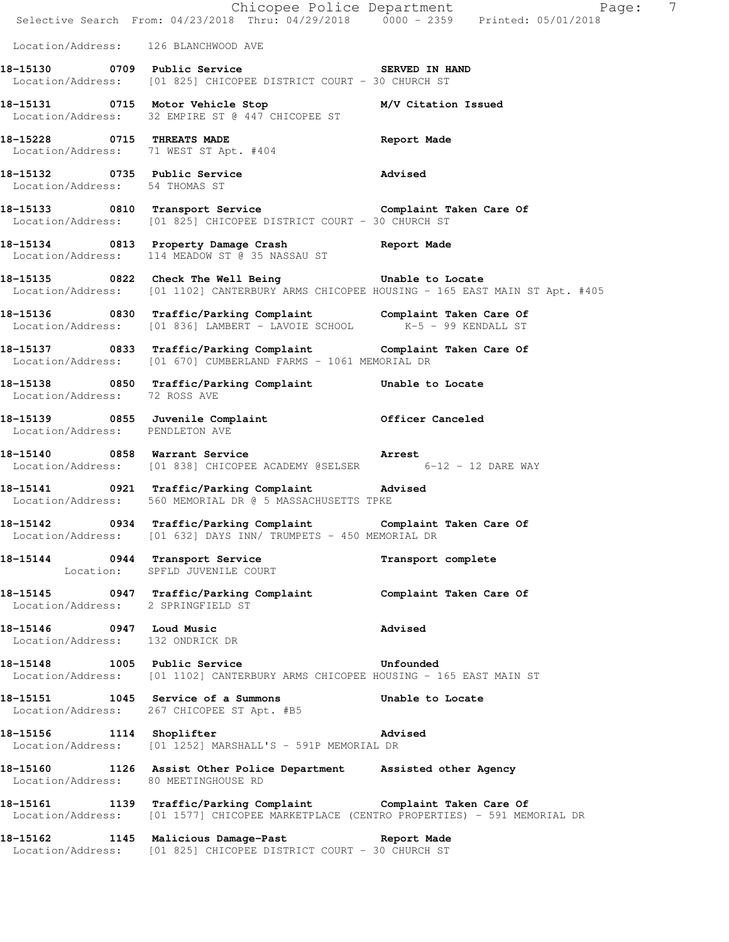|                                                              |                                                                                                                                                           | E Chicopee Police Department<br>Selective Search From: 04/23/2018 Thru: 04/29/2018 0000 - 2359 Printed: 05/01/2018<br>$\overline{7}$<br>Page: |
|--------------------------------------------------------------|-----------------------------------------------------------------------------------------------------------------------------------------------------------|-----------------------------------------------------------------------------------------------------------------------------------------------|
| Location/Address: 126 BLANCHWOOD AVE                         |                                                                                                                                                           |                                                                                                                                               |
|                                                              | 18-15130 0709 Public Service 3 SERVED IN HAND<br>Location/Address: [01 825] CHICOPEE DISTRICT COURT - 30 CHURCH ST                                        |                                                                                                                                               |
|                                                              | 18-15131 0715 Motor Vehicle Stop M/V Citation Issued<br>Location/Address: 32 EMPIRE ST @ 447 CHICOPEE ST                                                  |                                                                                                                                               |
| 18-15228 0715 THREATS MADE                                   | Location/Address: 71 WEST ST Apt. #404                                                                                                                    | Report Made                                                                                                                                   |
| Location/Address: 54 THOMAS ST                               | 18-15132 0735 Public Service 2011 Advised                                                                                                                 |                                                                                                                                               |
|                                                              | 18-15133 0810 Transport Service Complaint Taken Care Of<br>Location/Address: [01 825] CHICOPEE DISTRICT COURT - 30 CHURCH ST                              |                                                                                                                                               |
|                                                              | 18-15134 0813 Property Damage Crash Report Made Location/Address: 114 MEADOW ST @ 35 NASSAU ST                                                            |                                                                                                                                               |
|                                                              | 18-15135 0822 Check The Well Being 5 Unable to Locate                                                                                                     | Location/Address: [01 1102] CANTERBURY ARMS CHICOPEE HOUSING - 165 EAST MAIN ST Apt. #405                                                     |
|                                                              | 18-15136 0830 Traffic/Parking Complaint Complaint Taken Care Of Location/Address: [01 836] LAMBERT - LAVOIE SCHOOL K-5 - 99 KENDALL ST                    |                                                                                                                                               |
|                                                              | 18-15137 0833 Traffic/Parking Complaint Complaint Taken Care Of<br>Location/Address: [01 670] CUMBERLAND FARMS - 1061 MEMORIAL DR                         |                                                                                                                                               |
| Location/Address: 72 ROSS AVE                                | 18-15138 0850 Traffic/Parking Complaint Unable to Locate                                                                                                  |                                                                                                                                               |
| Location/Address: PENDLETON AVE                              | 18-15139 0855 Juvenile Complaint 0fficer Canceled                                                                                                         |                                                                                                                                               |
|                                                              | 18-15140 0858 Warrant Service <b>18-15140</b> Arrest<br>Location/Address: [01 838] CHICOPEE ACADEMY @SELSER 6-12 - 12 DARE WAY                            |                                                                                                                                               |
|                                                              | 18-15141 0921 Traffic/Parking Complaint Advised<br>Location/Address: 560 MEMORIAL DR @ 5 MASSACHUSETTS TPKE                                               |                                                                                                                                               |
|                                                              | 18-15142 		 0934 Traffic/Parking Complaint 		 Complaint Taken Care Of<br>Location/Address: [01 632] DAYS INN/ TRUMPETS - 450 MEMORIAL DR                  |                                                                                                                                               |
|                                                              | 18-15144 0944 Transport Service<br>Location: SPFLD JUVENILE COURT                                                                                         | Transport complete                                                                                                                            |
|                                                              | 18-15145   0947   Traffic/Parking Complaint   Complaint Taken Care Of Location/Address:   2 SPRINGFIELD ST                                                |                                                                                                                                               |
| 18-15146 0947 Loud Music<br>Location/Address: 132 ONDRICK DR |                                                                                                                                                           | Advised                                                                                                                                       |
|                                                              | 18-15148 1005 Public Service<br>Location/Address: [01 1102] CANTERBURY ARMS CHICOPEE HOUSING - 165 EAST MAIN ST                                           | Unfounded                                                                                                                                     |
|                                                              | 18-15151 1045 Service of a Summons Unable to Locate<br>Location/Address: 267 CHICOPEE ST Apt. #B5                                                         |                                                                                                                                               |
| 18-15156 1114 Shoplifter                                     | <b>Example 2</b> Advised<br>Location/Address: [01 1252] MARSHALL'S - 591P MEMORIAL DR                                                                     |                                                                                                                                               |
| Location/Address: 80 MEETINGHOUSE RD                         | 18-15160 1126 Assist Other Police Department Assisted other Agency                                                                                        |                                                                                                                                               |
|                                                              | 18-15161 1139 Traffic/Parking Complaint Complaint Taken Care Of<br>Location/Address: [01 1577] CHICOPEE MARKETPLACE (CENTRO PROPERTIES) - 591 MEMORIAL DR |                                                                                                                                               |
|                                                              | 18-15162 1145 Malicious Damage-Past Report Made<br>Location/Address: [01 825] CHICOPEE DISTRICT COURT - 30 CHURCH ST                                      |                                                                                                                                               |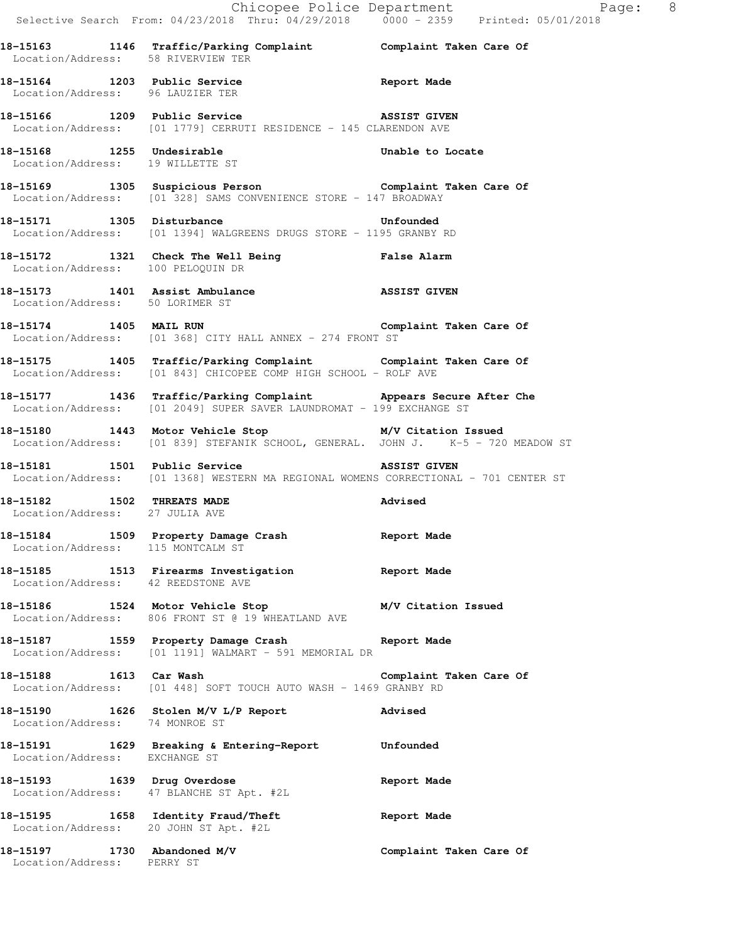|                                                               |                                                                                                                                          | Chicopee Police Department<br>Selective Search From: 04/23/2018 Thru: 04/29/2018 0000 - 2359 Printed: 05/01/2018 |
|---------------------------------------------------------------|------------------------------------------------------------------------------------------------------------------------------------------|------------------------------------------------------------------------------------------------------------------|
|                                                               | 18-15163 1146 Traffic/Parking Complaint Complaint Taken Care Of Location/Address: 58 RIVERVIEW TER                                       |                                                                                                                  |
| Location/Address: 96 LAUZIER TER                              | 18-15164 1203 Public Service <b>1208</b> Report Made                                                                                     |                                                                                                                  |
|                                                               | 18-15166 1209 Public Service <b>ASSIST GIVEN</b><br>Location/Address: [01 1779] CERRUTI RESIDENCE - 145 CLARENDON AVE                    |                                                                                                                  |
| 18-15168 1255 Undesirable<br>Location/Address: 19 WILLETTE ST |                                                                                                                                          | Unable to Locate                                                                                                 |
|                                                               | 18-15169 1305 Suspicious Person 18-15169 Complaint Taken Care Of<br>Location/Address: [01 328] SAMS CONVENIENCE STORE - 147 BROADWAY     |                                                                                                                  |
|                                                               | 18-15171 1305 Disturbance Unfounded<br>Location/Address: [01 1394] WALGREENS DRUGS STORE - 1195 GRANBY RD                                |                                                                                                                  |
| Location/Address: 100 PELOQUIN DR                             | 18-15172 1321 Check The Well Being Talse Alarm                                                                                           |                                                                                                                  |
| Location/Address: 50 LORIMER ST                               | 18-15173 1401 Assist Ambulance <b>1898 1899 1899 1899</b> ASSIST GIVEN                                                                   |                                                                                                                  |
|                                                               | 18-15174 1405 MAIL RUN <b>Complaint Taken Care Of</b><br>Location/Address: [01 368] CITY HALL ANNEX - 274 FRONT ST                       |                                                                                                                  |
|                                                               | 18-15175 1405 Traffic/Parking Complaint Complaint Taken Care Of<br>Location/Address: [01 843] CHICOPEE COMP HIGH SCHOOL - ROLF AVE       |                                                                                                                  |
|                                                               | 18-15177 1436 Traffic/Parking Complaint Appears Secure After Che<br>Location/Address: [01 2049] SUPER SAVER LAUNDROMAT - 199 EXCHANGE ST |                                                                                                                  |
|                                                               | 18-15180 1443 Motor Vehicle Stop M/V Citation Issued<br>Location/Address: [01 839] STEFANIK SCHOOL, GENERAL. JOHN J. K-5 - 720 MEADOW ST |                                                                                                                  |
| 18-15181 1501 Public Service                                  | <b>ASSIST GIVEN</b><br>Location/Address: [01 1368] WESTERN MA REGIONAL WOMENS CORRECTIONAL - 701 CENTER ST                               |                                                                                                                  |
| Location/Address: 27 JULIA AVE                                | 18-15182 1502 THREATS MADE<br><b>Example 2</b> Advised                                                                                   |                                                                                                                  |
| Location/Address: 115 MONTCALM ST                             | 18-15184 1509 Property Damage Crash                                                                                                      | Report Made                                                                                                      |
| Location/Address: 42 REEDSTONE AVE                            | 18-15185 1513 Firearms Investigation 1518 Report Made                                                                                    |                                                                                                                  |
|                                                               | 18-15186 1524 Motor Vehicle Stop 1997 M/V Citation Issued<br>Location/Address: 806 FRONT ST @ 19 WHEATLAND AVE                           |                                                                                                                  |
|                                                               | 18-15187 1559 Property Damage Crash 18-15187 Report Made<br>Location/Address: [01 1191] WALMART - 591 MEMORIAL DR                        |                                                                                                                  |
| 18-15188 1613 Car Wash                                        | Location/Address: [01 448] SOFT TOUCH AUTO WASH - 1469 GRANBY RD                                                                         | Complaint Taken Care Of                                                                                          |
| Location/Address: 74 MONROE ST                                | 18-15190 1626 Stolen M/V L/P Report Advised                                                                                              |                                                                                                                  |
| Location/Address: EXCHANGE ST                                 | 18-15191 1629 Breaking & Entering-Report Unfounded                                                                                       |                                                                                                                  |
|                                                               | 18-15193 1639 Drug Overdose<br>Location/Address: 47 BLANCHE ST Apt. #2L                                                                  | Report Made                                                                                                      |
|                                                               | 18-15195 1658 Identity Fraud/Theft<br>Location/Address: 20 JOHN ST Apt. #2L                                                              | Report Made                                                                                                      |
| 18-15197 1730 Abandoned M/V<br>Location/Address: PERRY ST     |                                                                                                                                          | Complaint Taken Care Of                                                                                          |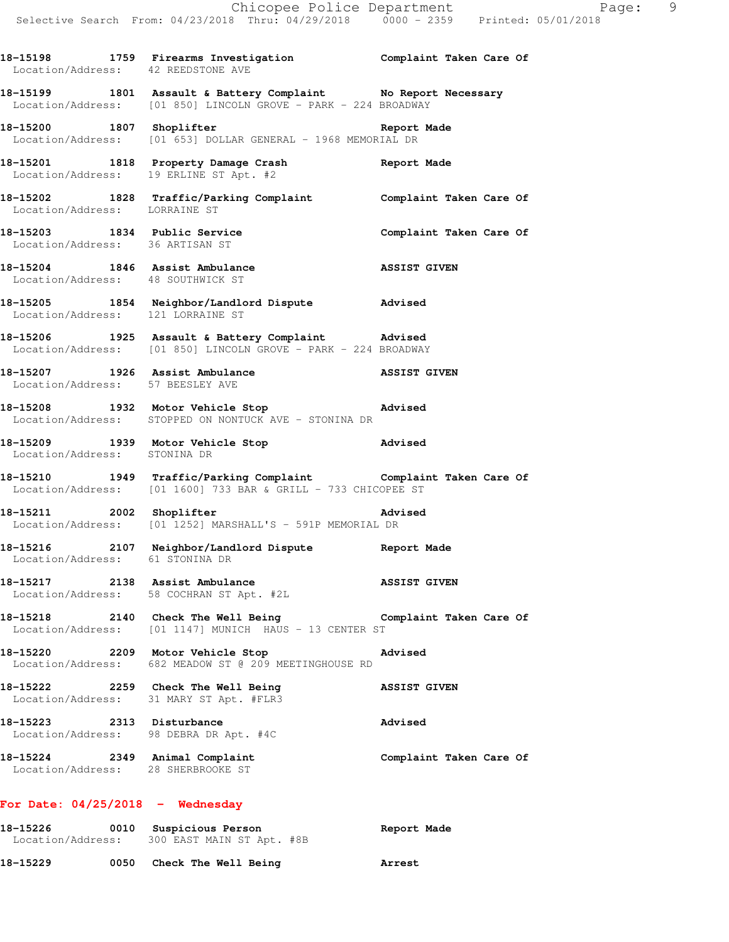**18-15198 1759 Firearms Investigation Complaint Taken Care Of**  Location/Address: 42 REEDSTONE AVE **18-15199 1801 Assault & Battery Complaint No Report Necessary**  Location/Address: [01 850] LINCOLN GROVE - PARK - 224 BROADWAY 18-15200 1807 Shoplifter **1807** Shoplister **Report Made** Location/Address: [01 653] DOLLAR GENERAL - 1968 MEMORIAL DR **18-15201 1818 Property Damage Crash Report Made**  Location/Address: 19 ERLINE ST Apt. #2 **18-15202 1828 Traffic/Parking Complaint Complaint Taken Care Of**  Location/Address: LORRAINE ST 18-15203 1834 Public Service **Complaint Taken Care Of**  Location/Address: 36 ARTISAN ST **18-15204 1846 Assist Ambulance ASSIST GIVEN**  Location/Address: 48 SOUTHWICK ST **18-15205 1854 Neighbor/Landlord Dispute Advised**  Location/Address: 121 LORRAINE ST **18-15206 1925 Assault & Battery Complaint Advised**  Location/Address: [01 850] LINCOLN GROVE - PARK - 224 BROADWAY **18-15207 1926 Assist Ambulance ASSIST GIVEN**  Location/Address: 57 BEESLEY AVE **18-15208 1932 Motor Vehicle Stop Advised**  Location/Address: STOPPED ON NONTUCK AVE - STONINA DR **18-15209 1939 Motor Vehicle Stop Advised**  Location/Address: STONINA DR **18-15210 1949 Traffic/Parking Complaint Complaint Taken Care Of**  Location/Address: [01 1600] 733 BAR & GRILL - 733 CHICOPEE ST 18-15211 2002 Shoplifter **Advised**  Location/Address: [01 1252] MARSHALL'S - 591P MEMORIAL DR **18-15216 2107 Neighbor/Landlord Dispute Report Made**  Location/Address: 61 STONINA DR **18-15217 2138 Assist Ambulance ASSIST GIVEN**  Location/Address: 58 COCHRAN ST Apt. #2L **18-15218 2140 Check The Well Being Complaint Taken Care Of**  Location/Address: [01 1147] MUNICH HAUS - 13 CENTER ST **18-15220 2209 Motor Vehicle Stop Advised**  Location/Address: 682 MEADOW ST @ 209 MEETINGHOUSE RD **18-15222 2259 Check The Well Being ASSIST GIVEN**  Location/Address: 31 MARY ST Apt. #FLR3 **18-15223 2313 Disturbance Advised**  Location/Address: 98 DEBRA DR Apt. #4C **18-15224 2349 Animal Complaint Complaint Taken Care Of**  Location/Address: 28 SHERBROOKE ST **For Date: 04/25/2018 - Wednesday 18-15226 0010 Suspicious Person Report Made**  Location/Address: 300 EAST MAIN ST Apt. #8B

**18-15229 0050 Check The Well Being Arrest**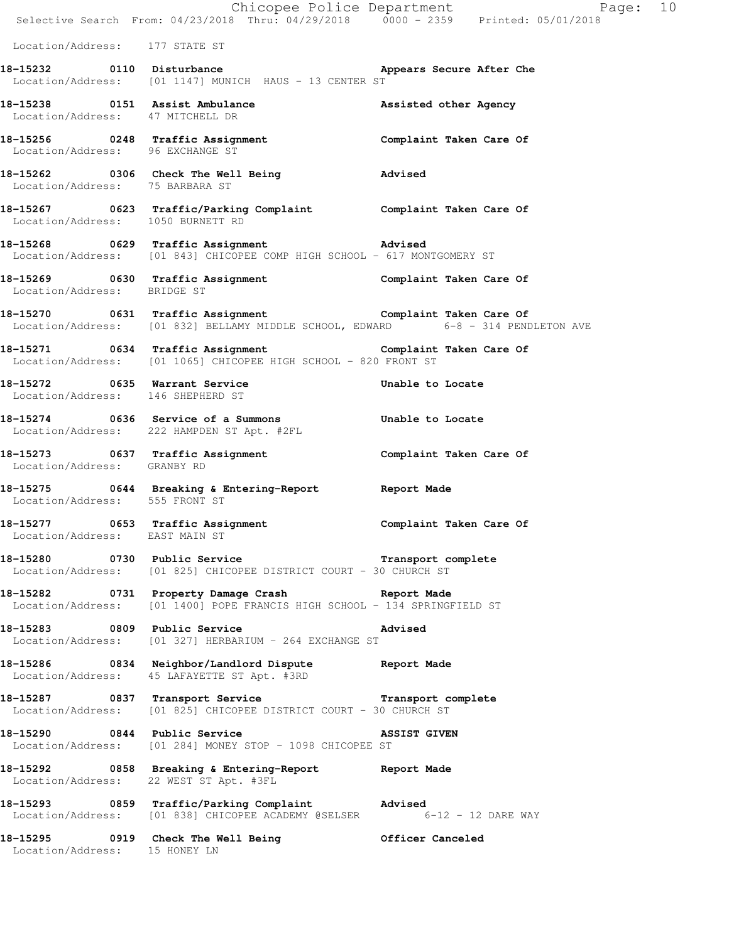|                                        | Selective Search From: 04/23/2018 Thru: 04/29/2018 0000 - 2359 Printed: 05/01/2018                                                                 | Chicopee Police Department<br>Page: 10 |
|----------------------------------------|----------------------------------------------------------------------------------------------------------------------------------------------------|----------------------------------------|
| Location/Address: 177 STATE ST         |                                                                                                                                                    |                                        |
|                                        | 18-15232 0110 Disturbance <b>1996 appears</b> Secure After Che<br>Location/Address: [01 1147] MUNICH HAUS - 13 CENTER ST                           |                                        |
| Location/Address: 47 MITCHELL DR       | 18-15238 0151 Assist Ambulance New Assisted other Agency                                                                                           |                                        |
| Location/Address: 96 EXCHANGE ST       | 18-15256 0248 Traffic Assignment <b>18-16-16 Complaint Taken Care Of</b>                                                                           |                                        |
| Location/Address: 75 BARBARA ST        | 18-15262 0306 Check The Well Being 30 Advised                                                                                                      |                                        |
|                                        | 18-15267 0623 Traffic/Parking Complaint Complaint Taken Care Of Location/Address: 1050 BURNETT RD                                                  |                                        |
|                                        | 18-15268 0629 Traffic Assignment Advised<br>Location/Address: [01 843] CHICOPEE COMP HIGH SCHOOL - 617 MONTGOMERY ST                               |                                        |
| Location/Address: BRIDGE ST            | 18-15269 0630 Traffic Assignment Complaint Taken Care Of                                                                                           |                                        |
|                                        | 18-15270 0631 Traffic Assignment<br>Location/Address: [01 832] BELLAMY MIDDLE SCHOOL, EDWARD 6-8 - 314 PENDLETON AVE                               |                                        |
|                                        | 18-15271 0634 Traffic Assignment <b>18-16-16 Complaint Taken Care Of</b><br>Location/Address: [01 1065] CHICOPEE HIGH SCHOOL - 820 FRONT ST        |                                        |
|                                        | 18-15272 0635 Warrant Service <b>1898 Constructs</b> Unable to Locate<br>Location/Address: 146 SHEPHERD ST                                         |                                        |
|                                        | 18-15274 0636 Service of a Summons Thable to Locate<br>Location/Address: 222 HAMPDEN ST Apt. #2FL                                                  |                                        |
| Location/Address: GRANBY RD            | 18-15273 0637 Traffic Assignment 18-15273 Complaint Taken Care Of                                                                                  |                                        |
| Location/Address: 555 FRONT ST         | 18-15275 0644 Breaking & Entering-Report 18 Report Made                                                                                            |                                        |
| Location/Address: EAST MAIN ST         | 18-15277 0653 Traffic Assignment <b>18-16 Complaint Taken Care Of</b>                                                                              |                                        |
|                                        | 18-15280 0730 Public Service <b>18-16 Example 18-15280</b> Transport complete<br>Location/Address: [01 825] CHICOPEE DISTRICT COURT - 30 CHURCH ST |                                        |
|                                        | 18-15282 0731 Property Damage Crash Report Made<br>Location/Address: [01 1400] POPE FRANCIS HIGH SCHOOL - 134 SPRINGFIELD ST                       |                                        |
|                                        | 18-15283 0809 Public Service and Marised<br>Location/Address: [01 327] HERBARIUM - 264 EXCHANGE ST                                                 |                                        |
|                                        | 18-15286 0834 Neighbor/Landlord Dispute Report Made<br>Location/Address: 45 LAFAYETTE ST Apt. #3RD                                                 |                                        |
|                                        | 18-15287 0837 Transport Service <b>1888 Transport complete</b><br>Location/Address: [01 825] CHICOPEE DISTRICT COURT - 30 CHURCH ST                |                                        |
|                                        | 18-15290 0844 Public Service<br>Location/Address: [01 284] MONEY STOP - 1098 CHICOPEE ST                                                           | <b>ASSIST GIVEN</b>                    |
| Location/Address: 22 WEST ST Apt. #3FL | 18-15292 0858 Breaking & Entering-Report Neport Made                                                                                               |                                        |
|                                        | 18-15293 0859 Traffic/Parking Complaint Advised<br>Location/Address: [01 838] CHICOPEE ACADEMY @SELSER 6-12 - 12 DARE WAY                          |                                        |
| Location/Address: 15 HONEY LN          | 18-15295 0919 Check The Well Being The Officer Canceled                                                                                            |                                        |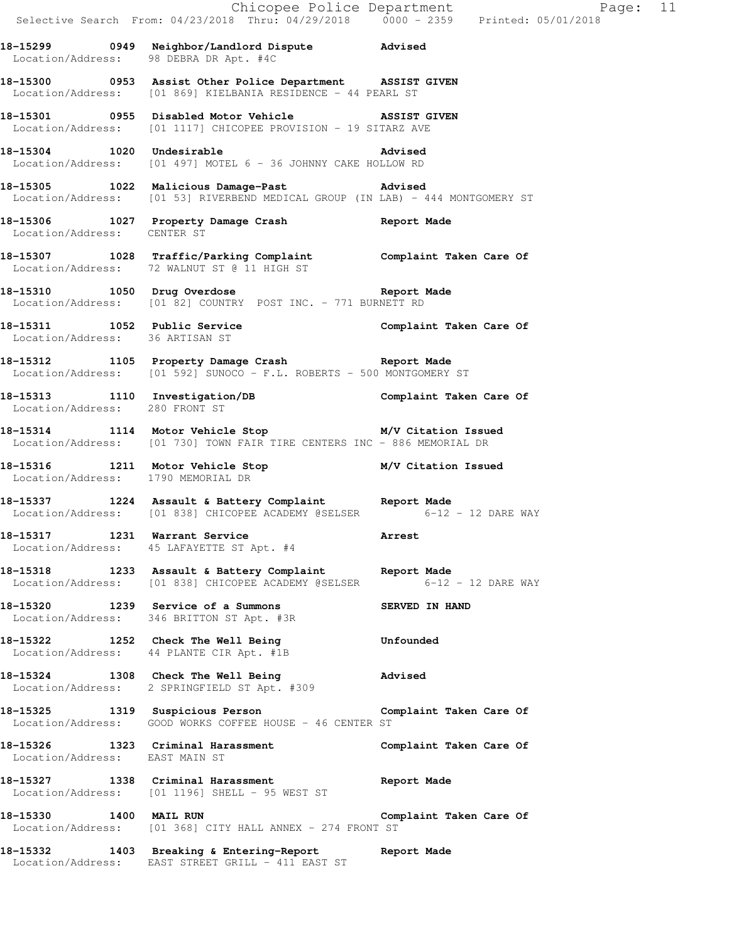|                                        |                                                                                                                                 | Chicopee Police Department<br>Selective Search From: 04/23/2018 Thru: 04/29/2018 0000 - 2359 Printed: 05/01/2018 |  |
|----------------------------------------|---------------------------------------------------------------------------------------------------------------------------------|------------------------------------------------------------------------------------------------------------------|--|
| Location/Address: 98 DEBRA DR Apt. #4C | 18-15299 0949 Neighbor/Landlord Dispute Advised                                                                                 |                                                                                                                  |  |
|                                        | 18-15300 0953 Assist Other Police Department ASSIST GIVEN<br>Location/Address: [01 869] KIELBANIA RESIDENCE - 44 PEARL ST       |                                                                                                                  |  |
|                                        | 18-15301 0955 Disabled Motor Vehicle ASSIST GIVEN<br>Location/Address: [01 1117] CHICOPEE PROVISION - 19 SITARZ AVE             |                                                                                                                  |  |
|                                        | 18-15304 1020 Undesirable<br>Location/Address: [01 497] MOTEL 6 - 36 JOHNNY CAKE HOLLOW RD                                      |                                                                                                                  |  |
|                                        | 18-15305 1022 Malicious Damage-Past Advised<br>Location/Address: [01 53] RIVERBEND MEDICAL GROUP (IN LAB) - 444 MONTGOMERY ST   |                                                                                                                  |  |
| Location/Address: CENTER ST            | 18-15306 1027 Property Damage Crash 15 Report Made                                                                              |                                                                                                                  |  |
|                                        | 18-15307 1028 Traffic/Parking Complaint Complaint Taken Care Of<br>Location/Address: 72 WALNUT ST @ 11 HIGH ST                  |                                                                                                                  |  |
|                                        | 18-15310 1050 Drug Overdose 10 10 Report Made<br>Location/Address: [01 82] COUNTRY POST INC. - 771 BURNETT RD                   |                                                                                                                  |  |
|                                        | 18-15311 1052 Public Service Complaint Taken Care Of<br>Location/Address: 36 ARTISAN ST                                         |                                                                                                                  |  |
|                                        | 18-15312 1105 Property Damage Crash Report Made<br>Location/Address: [01 592] SUNOCO - F.L. ROBERTS - 500 MONTGOMERY ST         |                                                                                                                  |  |
|                                        | 18-15313   1110   Investigation/DB   Complaint Taken Care Of Location/Address: 280 FRONT ST                                     |                                                                                                                  |  |
|                                        | 18-15314 1114 Motor Vehicle Stop M/V Citation Issued<br>Location/Address: [01 730] TOWN FAIR TIRE CENTERS INC - 886 MEMORIAL DR |                                                                                                                  |  |
| Location/Address: 1790 MEMORIAL DR     | 18-15316 1211 Motor Vehicle Stop M/V Citation Issued                                                                            |                                                                                                                  |  |
|                                        | 18-15337 1224 Assault & Battery Complaint<br>Location/Address: [01 838] CHICOPEE ACADEMY @SELSER 6-12 - 12 DARE WAY             |                                                                                                                  |  |
|                                        | 18-15317 1231 Warrant Service<br>Location/Address: 45 LAFAYETTE ST Apt. #4                                                      | <b>Arrest</b>                                                                                                    |  |
|                                        | 18-15318 1233 Assault & Battery Complaint Report Made<br>Location/Address: [01 838] CHICOPEE ACADEMY @SELSER 6-12 - 12 DARE WAY |                                                                                                                  |  |
|                                        | 18-15320 1239 Service of a Summons<br>Location/Address: 346 BRITTON ST Apt. #3R                                                 | SERVED IN HAND                                                                                                   |  |
|                                        | 18-15322 1252 Check The Well Being<br>Location/Address: 44 PLANTE CIR Apt. #1B                                                  | Unfounded                                                                                                        |  |
|                                        | 18-15324 1308 Check The Well Being<br>Location/Address: 2 SPRINGFIELD ST Apt. #309                                              | Advised                                                                                                          |  |
|                                        | 18-15325 1319 Suspicious Person <b>1886 Complaint Taken Care Of</b><br>Location/Address: GOOD WORKS COFFEE HOUSE - 46 CENTER ST |                                                                                                                  |  |
| Location/Address: EAST MAIN ST         | 18-15326 1323 Criminal Harassment                                                                                               | Complaint Taken Care Of                                                                                          |  |
|                                        | 18-15327 1338 Criminal Harassment<br>Location/Address: [01 1196] SHELL - 95 WEST ST                                             | Report Made                                                                                                      |  |
| 18-15330 1400 MAIL RUN                 | Location/Address: [01 368] CITY HALL ANNEX - 274 FRONT ST                                                                       | Complaint Taken Care Of                                                                                          |  |
|                                        | 18-15332 1403 Breaking & Entering-Report 15332<br>Location/Address: EAST STREET GRILL - 411 EAST ST                             |                                                                                                                  |  |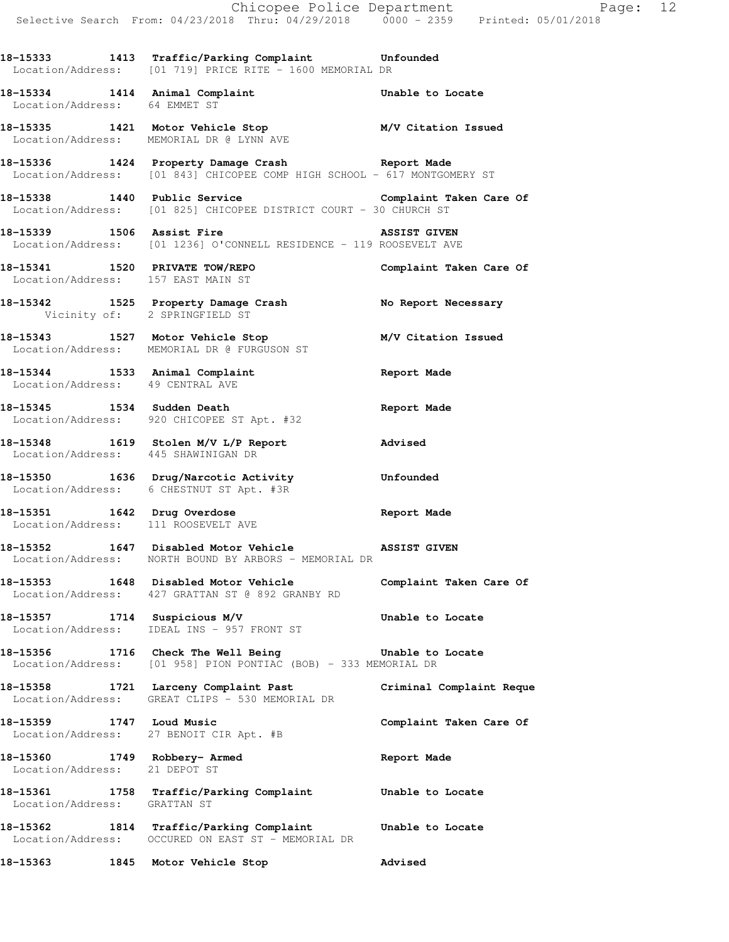**18-15333 1413 Traffic/Parking Complaint Unfounded**  Location/Address: [01 719] PRICE RITE - 1600 MEMORIAL DR

**18-15334 1414 Animal Complaint Unable to Locate**  Location/Address: 64 EMMET ST

**18-15335 1421 Motor Vehicle Stop M/V Citation Issued**  Location/Address: MEMORIAL DR @ LYNN AVE

**18-15336 1424 Property Damage Crash Report Made**  Location/Address: [01 843] CHICOPEE COMP HIGH SCHOOL - 617 MONTGOMERY ST

**18-15338 1440 Public Service Complaint Taken Care Of**  Location/Address: [01 825] CHICOPEE DISTRICT COURT - 30 CHURCH ST

18-15339 1506 Assist Fire **1888 1988 1506 ASSIST GIVEN** Location/Address: [01 1236] O'CONNELL RESIDENCE - 119 ROOSEVELT AVE

**18-15341 1520 PRIVATE TOW/REPO Complaint Taken Care Of**  Location/Address: 157 EAST MAIN ST

**18-15342 1525 Property Damage Crash No Report Necessary**  Vicinity of: 2 SPRINGFIELD ST

**18-15343 1527 Motor Vehicle Stop M/V Citation Issued**  Location/Address: MEMORIAL DR @ FURGUSON ST

**18-15344 1533 Animal Complaint Report Made**  Location/Address: 49 CENTRAL AVE

**18-15345 1534 Sudden Death Report Made**  Location/Address: 920 CHICOPEE ST Apt. #32

**18-15348 1619 Stolen M/V L/P Report Advised**  Location/Address: 445 SHAWINIGAN DR

**18-15350 1636 Drug/Narcotic Activity Unfounded**  Location/Address: 6 CHESTNUT ST Apt. #3R

**18-15351 1642 Drug Overdose Report Made**  Location/Address: 111 ROOSEVELT AVE

**18-15352 1647 Disabled Motor Vehicle ASSIST GIVEN**  Location/Address: NORTH BOUND BY ARBORS - MEMORIAL DR

**18-15353 1648 Disabled Motor Vehicle Complaint Taken Care Of**  Location/Address: 427 GRATTAN ST @ 892 GRANBY RD

**18-15357 1714 Suspicious M/V Unable to Locate**  Location/Address: IDEAL INS - 957 FRONT ST

**18-15356 1716 Check The Well Being Unable to Locate**  Location/Address: [01 958] PION PONTIAC (BOB) - 333 MEMORIAL DR

**18-15358 1721 Larceny Complaint Past Criminal Complaint Reque**  Location/Address: GREAT CLIPS - 530 MEMORIAL DR

**18-15359 1747 Loud Music Complaint Taken Care Of**  Location/Address: 27 BENOIT CIR Apt. #B

**18-15360 1749 Robbery- Armed Report Made**  Location/Address: 21 DEPOT ST

**18-15361 1758 Traffic/Parking Complaint Unable to Locate**  Location/Address: GRATTAN ST

**18-15362 1814 Traffic/Parking Complaint Unable to Locate**  Location/Address: OCCURED ON EAST ST - MEMORIAL DR

**18-15363 1845 Motor Vehicle Stop Advised**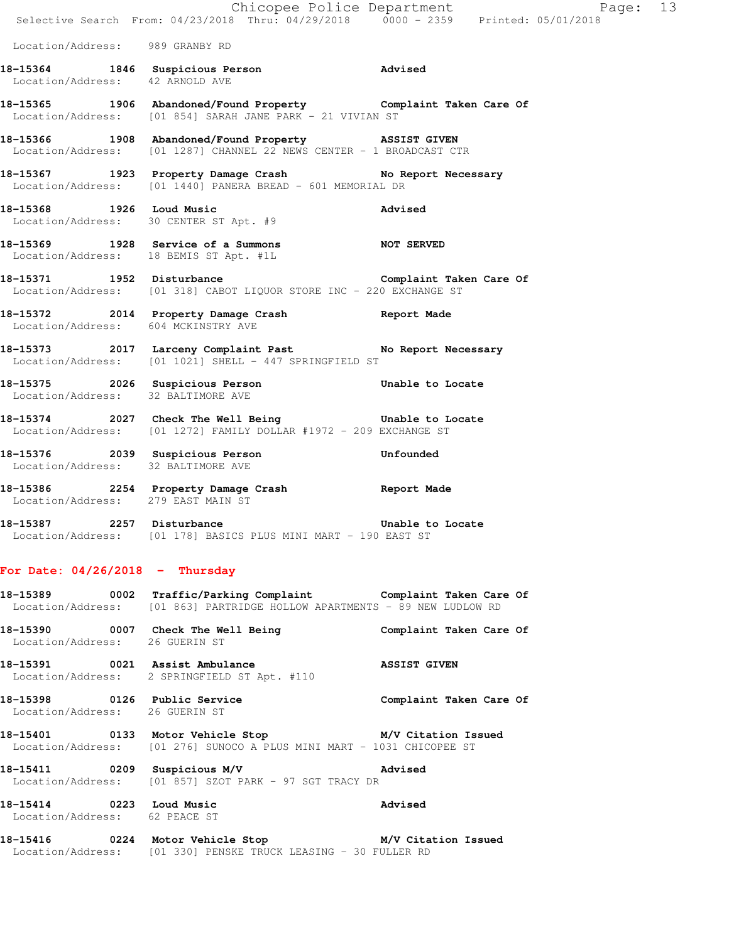|                                    |      | Chicopee Police Department                                                                                                   |                         |
|------------------------------------|------|------------------------------------------------------------------------------------------------------------------------------|-------------------------|
|                                    |      | Selective Search From: 04/23/2018 Thru: 04/29/2018 0000 - 2359 Printed: 05/01/2018                                           |                         |
| Location/Address: 989 GRANBY RD    |      |                                                                                                                              |                         |
| Location/Address: 42 ARNOLD AVE    |      | 18-15364 1846 Suspicious Person 1999 Marised                                                                                 |                         |
|                                    |      | 18-15365 1906 Abandoned/Found Property Complaint Taken Care Of<br>Location/Address: [01 854] SARAH JANE PARK - 21 VIVIAN ST  |                         |
|                                    |      | 18-15366 1908 Abandoned/Found Property ASSIST GIVEN<br>Location/Address: [01 1287] CHANNEL 22 NEWS CENTER - 1 BROADCAST CTR  |                         |
|                                    |      | 18-15367 1923 Property Damage Crash No Report Necessary<br>Location/Address: [01 1440] PANERA BREAD - 601 MEMORIAL DR        |                         |
|                                    |      | 18-15368 1926 Loud Music<br>Location/Address: 30 CENTER ST Apt. #9                                                           | Advised                 |
|                                    |      | 18-15369 1928 Service of a Summons NOT SERVED<br>Location/Address: 18 BEMIS ST Apt. #1L                                      |                         |
|                                    |      | 18-15371 1952 Disturbance and Complaint Taken Care Of<br>Location/Address: [01 318] CABOT LIQUOR STORE INC - 220 EXCHANGE ST |                         |
|                                    |      | 18-15372 2014 Property Damage Crash Report Made<br>Location/Address: 604 MCKINSTRY AVE                                       |                         |
|                                    |      | 18-15373 2017 Larceny Complaint Past No Report Necessary<br>Location/Address: [01 1021] SHELL - 447 SPRINGFIELD ST           |                         |
|                                    |      | 18-15375 2026 Suspicious Person 6 Unable to Locate<br>Location/Address: 32 BALTIMORE AVE                                     |                         |
|                                    |      | 18-15374 2027 Check The Well Being Chable to Locate<br>Location/Address: [01 1272] FAMILY DOLLAR #1972 - 209 EXCHANGE ST     |                         |
|                                    |      | 18-15376 2039 Suspicious Person<br>Location/Address: 32 BALTIMORE AVE                                                        | Unfounded               |
| Location/Address: 279 EAST MAIN ST |      | 18-15386 2254 Property Damage Crash Report Made                                                                              |                         |
| 18-15387<br>Location/Address:      | 2257 | Disturbance<br>[01 178] BASICS PLUS MINI MART - 190 EAST ST                                                                  | Unable to Locate        |
| For Date: $04/26/2018$ - Thursday  |      |                                                                                                                              |                         |
| 18-15389<br>Location/Address:      | 0002 | Traffic/Parking Complaint<br>[01 863] PARTRIDGE HOLLOW APARTMENTS - 89 NEW LUDLOW RD                                         | Complaint Taken Care Of |

**18-15390 0007 Check The Well Being Complaint Taken Care Of**  Location/Address: 26 GUERIN ST

18-15391 0021 Assist Ambulance **ASSIST GIVEN** Location/Address: 2 SPRINGFIELD ST Apt. #110

**18-15398 0126 Public Service Complaint Taken Care Of**  Location/Address: 26 GUERIN ST

**18-15401 0133 Motor Vehicle Stop M/V Citation Issued**  Location/Address: [01 276] SUNOCO A PLUS MINI MART - 1031 CHICOPEE ST

**18-15411 0209 Suspicious M/V Advised**  Location/Address: [01 857] SZOT PARK - 97 SGT TRACY DR

**18-15414 0223 Loud Music Advised**  Location/Address: 62 PEACE ST

## **18-15416 0224 Motor Vehicle Stop M/V Citation Issued**  Location/Address: [01 330] PENSKE TRUCK LEASING - 30 FULLER RD

Page:  $13$ <br>018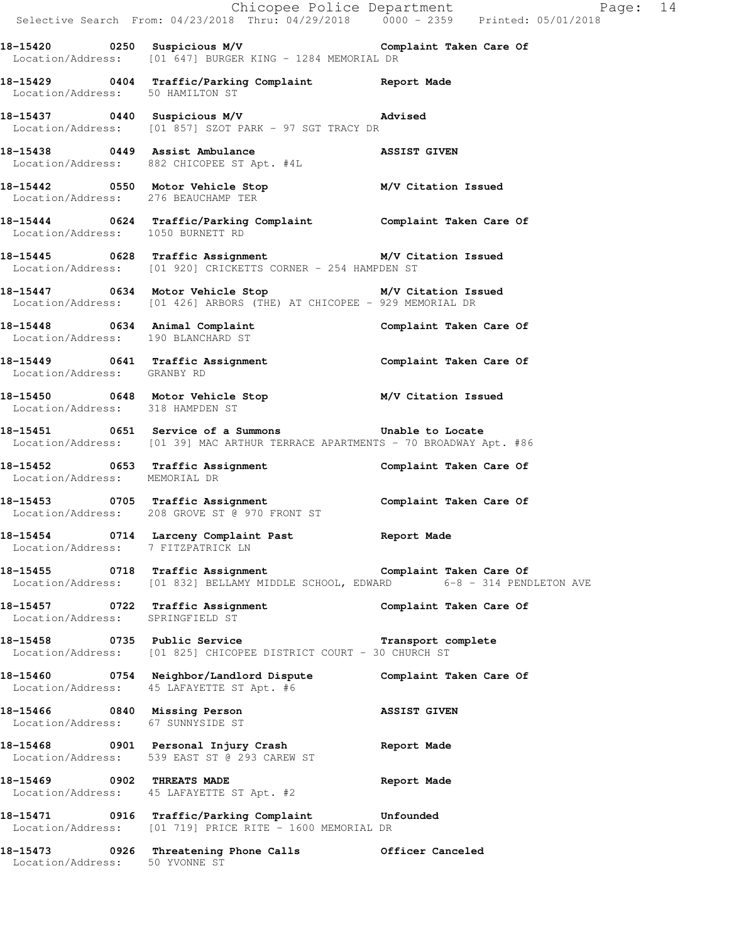|                                     |                                                                                                                                              | Chicopee Police Department<br>Selective Search From: 04/23/2018 Thru: 04/29/2018 0000 - 2359 Printed: 05/01/2018 |  |
|-------------------------------------|----------------------------------------------------------------------------------------------------------------------------------------------|------------------------------------------------------------------------------------------------------------------|--|
|                                     | 18-15420 		 0250 Suspicious M/V 		 Complaint Taken Care Of<br>Location/Address: [01 647] BURGER KING - 1284 MEMORIAL DR                      |                                                                                                                  |  |
| Location/Address: 50 HAMILTON ST    | 18-15429 0404 Traffic/Parking Complaint Report Made                                                                                          |                                                                                                                  |  |
|                                     | 18-15437 0440 Suspicious M/V 18-15437<br>Location/Address: [01 857] SZOT PARK - 97 SGT TRACY DR                                              |                                                                                                                  |  |
| 18-15438 0449 Assist Ambulance      | 10-15438 0449 Assist Ambulance<br>Location/Address: 882 CHICOPEE ST Apt. #4L                                                                 |                                                                                                                  |  |
| Location/Address: 276 BEAUCHAMP TER | 18-15442 0550 Motor Vehicle Stop M/V Citation Issued                                                                                         |                                                                                                                  |  |
| Location/Address: 1050 BURNETT RD   | 18-15444 0624 Traffic/Parking Complaint Complaint Taken Care Of                                                                              |                                                                                                                  |  |
|                                     | 18-15445 0628 Traffic Assignment M/V Citation Issued<br>Location/Address: [01 920] CRICKETTS CORNER - 254 HAMPDEN ST                         |                                                                                                                  |  |
|                                     | 18-15447 0634 Motor Vehicle Stop M/V Citation Issued<br>Location/Address: [01 426] ARBORS (THE) AT CHICOPEE - 929 MEMORIAL DR                |                                                                                                                  |  |
|                                     | 18-15448 0634 Animal Complaint 18-15448 Complaint Taken Care Of<br>Location/Address: 190 BLANCHARD ST                                        |                                                                                                                  |  |
| Location/Address: GRANBY RD         | 18-15449 0641 Traffic Assignment Complaint Taken Care Of                                                                                     |                                                                                                                  |  |
| Location/Address: 318 HAMPDEN ST    | 18-15450 0648 Motor Vehicle Stop M/V Citation Issued                                                                                         |                                                                                                                  |  |
|                                     | 18-15451 0651 Service of a Summons Unable to Locate<br>Location/Address: [01 39] MAC ARTHUR TERRACE APARTMENTS - 70 BROADWAY Apt. #86        |                                                                                                                  |  |
| Location/Address: MEMORIAL DR       | 18-15452 0653 Traffic Assignment Complaint Taken Care Of                                                                                     |                                                                                                                  |  |
|                                     | 18-15453 0705 Traffic Assignment<br>Location/Address: 208 GROVE ST @ 970 FRONT ST Complaint Taken Care Of                                    |                                                                                                                  |  |
| Location/Address: 7 FITZPATRICK LN  | 18-15454 0714 Larceny Complaint Past Report Made                                                                                             |                                                                                                                  |  |
|                                     | 18-15455 0718 Traffic Assignment Complaint Taken Care Of<br>Location/Address: [01 832] BELLAMY MIDDLE SCHOOL, EDWARD 6-8 - 314 PENDLETON AVE |                                                                                                                  |  |
| Location/Address: SPRINGFIELD ST    | 18-15457 0722 Traffic Assignment Complaint Taken Care Of                                                                                     |                                                                                                                  |  |
|                                     | 18-15458 0735 Public Service Transport complete<br>Location/Address: [01 825] CHICOPEE DISTRICT COURT - 30 CHURCH ST                         |                                                                                                                  |  |
|                                     | 18-15460 0754 Neighbor/Landlord Dispute Complaint Taken Care Of<br>Location/Address: 45 LAFAYETTE ST Apt. #6                                 |                                                                                                                  |  |
| Location/Address: 67 SUNNYSIDE ST   | 18-15466 0840 Missing Person                                                                                                                 | <b>ASSIST GIVEN</b>                                                                                              |  |
|                                     | 18-15468 0901 Personal Injury Crash 18-15468 Report Made<br>Location/Address: 539 EAST ST @ 293 CAREW ST                                     |                                                                                                                  |  |
| 18-15469 0902 THREATS MADE          | Location/Address: 45 LAFAYETTE ST Apt. #2                                                                                                    | Report Made                                                                                                      |  |
|                                     | 18-15471 0916 Traffic/Parking Complaint Unfounded<br>Location/Address: [01 719] PRICE RITE - 1600 MEMORIAL DR                                |                                                                                                                  |  |
| 0.000                               |                                                                                                                                              |                                                                                                                  |  |

**18-15473 0926 Threatening Phone Calls Officer Canceled**  Location/Address: 50 YVONNE ST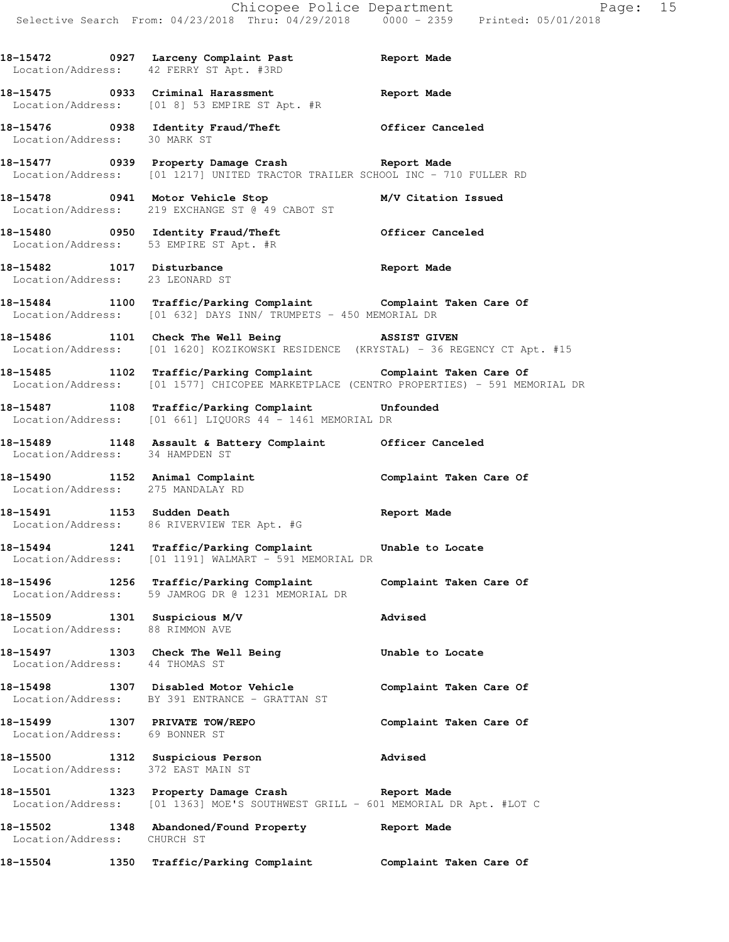|                                                                 | 18-15472 0927 Larceny Complaint Past Report Made<br>Location/Address: 42 FERRY ST Apt. #3RD                                                            |                         |
|-----------------------------------------------------------------|--------------------------------------------------------------------------------------------------------------------------------------------------------|-------------------------|
|                                                                 | 18-15475 0933 Criminal Harassment<br>Location/Address: [01 8] 53 EMPIRE ST Apt. #R                                                                     | Report Made             |
|                                                                 | 18-15476 0938 Identity Fraud/Theft 0fficer Canceled Location/Address: 30 MARK ST                                                                       |                         |
|                                                                 | 18-15477 0939 Property Damage Crash Report Made<br>Location/Address: [01 1217] UNITED TRACTOR TRAILER SCHOOL INC - 710 FULLER RD                       |                         |
|                                                                 | 18-15478 0941 Motor Vehicle Stop M/V Citation Issued<br>Location/Address: 219 EXCHANGE ST @ 49 CABOT ST                                                |                         |
|                                                                 | 18-15480 0950 Identity Fraud/Theft 15 Officer Canceled<br>Location/Address: 53 EMPIRE ST Apt. #R                                                       |                         |
|                                                                 | 18-15482 1017 Disturbance 2008 Report Made<br>Location/Address: 23 LEONARD ST                                                                          |                         |
|                                                                 | 18-15484 1100 Traffic/Parking Complaint Complaint Taken Care Of<br>Location/Address: [01 632] DAYS INN/ TRUMPETS - 450 MEMORIAL DR                     |                         |
|                                                                 | 18-15486 1101 Check The Well Being 38SIST GIVEN<br>Location/Address: [01 1620] KOZIKOWSKI RESIDENCE (KRYSTAL) - 36 REGENCY CT Apt. #15                 |                         |
|                                                                 | 18-15485 1102 Traffic/Parking Complaint Complaint Taken Care Of Location/Address: [01 1577] CHICOPEE MARKETPLACE (CENTRO PROPERTIES) - 591 MEMORIAL DR |                         |
|                                                                 | 18-15487 1108 Traffic/Parking Complaint Unfounded<br>Location/Address: [01 661] LIQUORS 44 - 1461 MEMORIAL DR                                          |                         |
|                                                                 | 18-15489 1148 Assault & Battery Complaint Officer Canceled Location/Address: 34 HAMPDEN ST                                                             |                         |
|                                                                 | 18-15490 1152 Animal Complaint<br>Location/Address: 275 MANDALAY RD                                                                                    | Complaint Taken Care Of |
| 18-15491 1153 Sudden Death                                      | Location/Address: 86 RIVERVIEW TER Apt. #G                                                                                                             | <b>Report Made</b>      |
|                                                                 | 18-15494 1241 Traffic/Parking Complaint Unable to Locate<br>Location/Address: [01 1191] WALMART - 591 MEMORIAL DR                                      |                         |
|                                                                 | 18-15496 1256 Traffic/Parking Complaint Complaint Taken Care Of<br>Location/Address: 59 JAMROG DR @ 1231 MEMORIAL DR                                   |                         |
| 18-15509 1301 Suspicious M/V<br>Location/Address: 88 RIMMON AVE |                                                                                                                                                        | Advised                 |
| Location/Address: 44 THOMAS ST                                  | 18-15497 1303 Check The Well Being 18-15497                                                                                                            |                         |
|                                                                 | 18-15498 1307 Disabled Motor Vehicle<br>Location/Address: BY 391 ENTRANCE - GRATTAN ST                                                                 | Complaint Taken Care Of |
| Location/Address: 69 BONNER ST                                  | 18-15499 1307 PRIVATE TOW/REPO                                                                                                                         | Complaint Taken Care Of |
|                                                                 | 18-15500 1312 Suspicious Person<br>Location/Address: 372 EAST MAIN ST                                                                                  | Advised                 |
|                                                                 | 18-15501 1323 Property Damage Crash Report Made<br>Location/Address: [01 1363] MOE'S SOUTHWEST GRILL - 601 MEMORIAL DR Apt. #LOT C                     |                         |
| Location/Address: CHURCH ST                                     | 18-15502 1348 Abandoned/Found Property Report Made                                                                                                     |                         |
|                                                                 |                                                                                                                                                        |                         |

**18-15504 1350 Traffic/Parking Complaint Complaint Taken Care Of**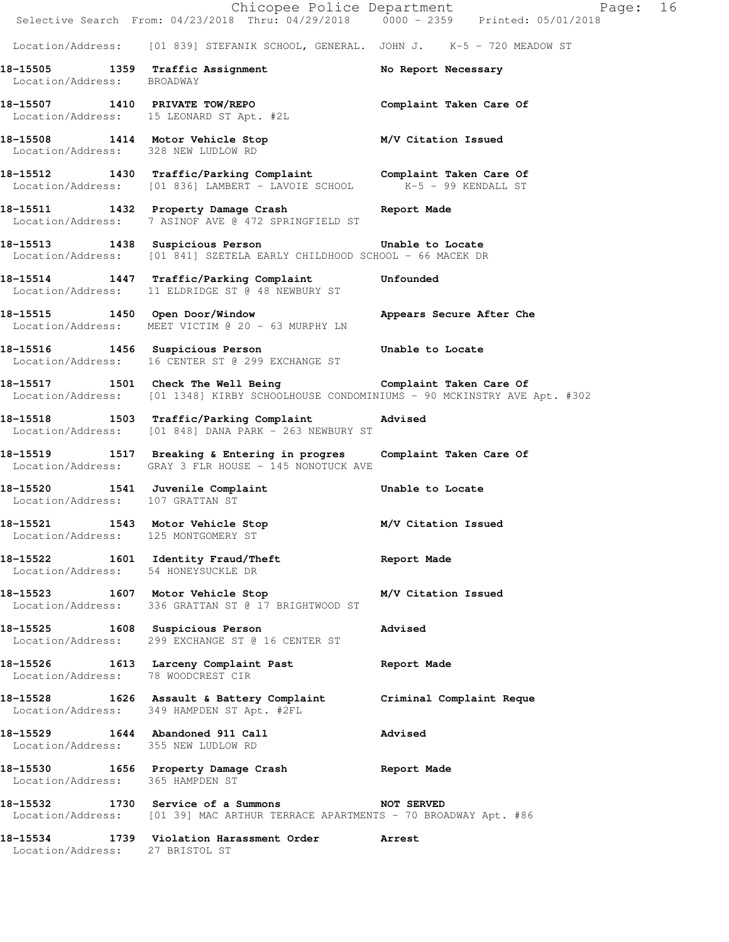|                                     | Chicopee Police Department<br>Selective Search From: 04/23/2018 Thru: 04/29/2018 0000 - 2359 Printed: 05/01/2018                                      | Page: 16                |  |
|-------------------------------------|-------------------------------------------------------------------------------------------------------------------------------------------------------|-------------------------|--|
|                                     | Location/Address: [01 839] STEFANIK SCHOOL, GENERAL. JOHN J. K-5 - 720 MEADOW ST                                                                      |                         |  |
| Location/Address: BROADWAY          | 18-15505 1359 Traffic Assignment                                                                                                                      | No Report Necessary     |  |
|                                     | 18-15507 1410 PRIVATE TOW/REPO<br>Location/Address: 15 LEONARD ST Apt. #2L                                                                            | Complaint Taken Care Of |  |
| Location/Address: 328 NEW LUDLOW RD | 18-15508 1414 Motor Vehicle Stop M/V Citation Issued                                                                                                  |                         |  |
|                                     | 18-15512 1430 Traffic/Parking Complaint Complaint Taken Care Of<br>Location/Address: [01 836] LAMBERT - LAVOIE SCHOOL K-5 - 99 KENDALL ST             |                         |  |
|                                     | 18-15511 1432 Property Damage Crash Report Made<br>Location/Address: 7 ASINOF AVE @ 472 SPRINGFIELD ST                                                |                         |  |
|                                     | 18-15513 1438 Suspicious Person Unable to Locate<br>Location/Address: [01 841] SZETELA EARLY CHILDHOOD SCHOOL - 66 MACEK DR                           |                         |  |
|                                     | 18-15514 1447 Traffic/Parking Complaint Unfounded<br>Location/Address: 11 ELDRIDGE ST @ 48 NEWBURY ST                                                 |                         |  |
|                                     | 18-15515 1450 Open Door/Window <b>18-16-16 Appears Secure After Che</b><br>Location/Address: MEET VICTIM @ 20 - 63 MURPHY LN                          |                         |  |
|                                     | 18-15516 1456 Suspicious Person bunable to Locate<br>Location/Address: 16 CENTER ST @ 299 EXCHANGE ST                                                 |                         |  |
|                                     | 18-15517 1501 Check The Well Being Complaint Taken Care Of<br>Location/Address: [01 1348] KIRBY SCHOOLHOUSE CONDOMINIUMS - 90 MCKINSTRY AVE Apt. #302 |                         |  |
|                                     | 18-15518 1503 Traffic/Parking Complaint Advised<br>Location/Address: [01 848] DANA PARK - 263 NEWBURY ST                                              |                         |  |
|                                     | 18-15519 1517 Breaking & Entering in progres Complaint Taken Care Of<br>Location/Address: GRAY 3 FLR HOUSE - 145 NONOTUCK AVE                         |                         |  |
| Location/Address: 107 GRATTAN ST    | 18-15520 1541 Juvenile Complaint                                                                                                                      | Unable to Locate        |  |
|                                     | 18-15521 1543 Motor Vehicle Stop M/V Citation Issued<br>Location/Address: 125 MONTGOMERY ST                                                           |                         |  |
| Location/Address: 54 HONEYSUCKLE DR | 18-15522 1601 Identity Fraud/Theft                                                                                                                    | Report Made             |  |
|                                     | 18-15523 1607 Motor Vehicle Stop<br>Location/Address: 336 GRATTAN ST @ 17 BRIGHTWOOD ST                                                               | M/V Citation Issued     |  |
|                                     | 18-15525 1608 Suspicious Person<br>Location/Address: 299 EXCHANGE ST @ 16 CENTER ST                                                                   | Advised                 |  |
| Location/Address: 78 WOODCREST CIR  | 18-15526 1613 Larceny Complaint Past                                                                                                                  | Report Made             |  |
|                                     | 18-15528 1626 Assault & Battery Complaint Criminal Complaint Reque<br>Location/Address: 349 HAMPDEN ST Apt. #2FL                                      |                         |  |
| Location/Address: 355 NEW LUDLOW RD | 18-15529 1644 Abandoned 911 Call                                                                                                                      | <b>Advised</b>          |  |
| Location/Address: 365 HAMPDEN ST    | 18-15530 1656 Property Damage Crash                                                                                                                   | Report Made             |  |
|                                     | 18-15532 1730 Service of a Summons NOT SERVED<br>Location/Address: [01 39] MAC ARTHUR TERRACE APARTMENTS - 70 BROADWAY Apt. #86                       |                         |  |
| Location/Address: 27 BRISTOL ST     | 18-15534 1739 Violation Harassment Order                                                                                                              | Arrest                  |  |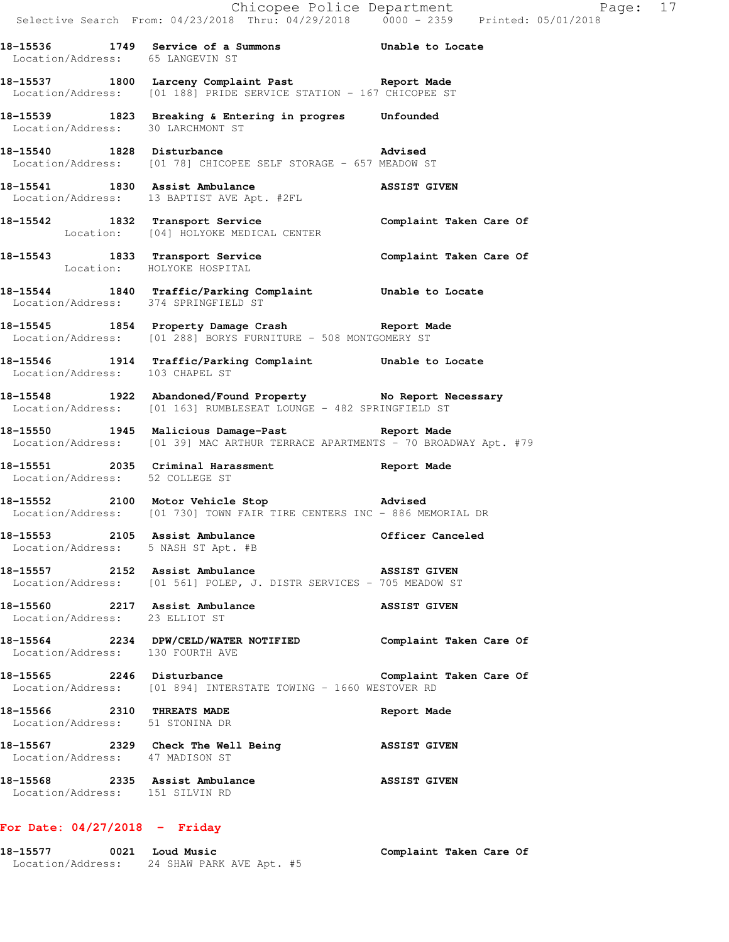|                                                                   | Chicopee Police Department<br>Selective Search From: 04/23/2018 Thru: 04/29/2018 0000 - 2359 Printed: 05/01/2018                | Page: 17                |
|-------------------------------------------------------------------|---------------------------------------------------------------------------------------------------------------------------------|-------------------------|
| Location/Address: 65 LANGEVIN ST                                  | 18-15536 1749 Service of a Summons 5 Unable to Locate                                                                           |                         |
|                                                                   | 18-15537 1800 Larceny Complaint Past<br>Location/Address: [01 188] PRIDE SERVICE STATION - 167 CHICOPEE ST                      |                         |
|                                                                   | 18-15539 1823 Breaking & Entering in progres Unfounded<br>Location/Address: 30 LARCHMONT ST                                     |                         |
|                                                                   | 18-15540 1828 Disturbance Movised Madvised<br>Location/Address: [01 78] CHICOPEE SELF STORAGE - 657 MEADOW ST                   |                         |
|                                                                   | 18-15541 1830 Assist Ambulance <b>ASSIST GIVEN</b> Location/Address: 13 BAPTIST AVE Apt. #2FL                                   |                         |
|                                                                   | 18-15542 1832 Transport Service <b>1898</b> Complaint Taken Care Of<br>Location: [04] HOLYOKE MEDICAL CENTER                    |                         |
|                                                                   | 18-15543 1833 Transport Service 1988 Complaint Taken Care Of<br>Location: HOLYOKE HOSPITAL                                      |                         |
| Location/Address: 374 SPRINGFIELD ST                              | 18-15544 1840 Traffic/Parking Complaint Unable to Locate                                                                        |                         |
|                                                                   | 18-15545 1854 Property Damage Crash Report Made<br>Location/Address: [01 288] BORYS FURNITURE - 508 MONTGOMERY ST               |                         |
| Location/Address: 103 CHAPEL ST                                   | 18-15546 1914 Traffic/Parking Complaint Unable to Locate                                                                        |                         |
|                                                                   | 18-15548 1922 Abandoned/Found Property No Report Necessary<br>Location/Address: [01 163] RUMBLESEAT LOUNGE - 482 SPRINGFIELD ST |                         |
|                                                                   | 18-15550 1945 Malicious Damage-Past 18-15550<br>Location/Address: [01 39] MAC ARTHUR TERRACE APARTMENTS - 70 BROADWAY Apt. #79  |                         |
| Location/Address: 52 COLLEGE ST                                   | 18-15551 2035 Criminal Harassment Channel Report Made                                                                           |                         |
|                                                                   | Location/Address: [01 730] TOWN FAIR TIRE CENTERS INC - 886 MEMORIAL DR                                                         |                         |
| Location/Address: 5 NASH ST Apt. #B                               | 18-15553 2105 Assist Ambulance                                                                                                  | Officer Canceled        |
|                                                                   | 18-15557 2152 Assist Ambulance<br>Location/Address: [01 561] POLEP, J. DISTR SERVICES - 705 MEADOW ST                           | <b>ASSIST GIVEN</b>     |
| Location/Address: 23 ELLIOT ST                                    | 18-15560 2217 Assist Ambulance                                                                                                  | <b>ASSIST GIVEN</b>     |
| Location/Address: 130 FOURTH AVE                                  | 18-15564 2234 DPW/CELD/WATER NOTIFIED Complaint Taken Care Of                                                                   |                         |
|                                                                   | 18-15565 2246 Disturbance<br>Location/Address: [01 894] INTERSTATE TOWING - 1660 WESTOVER RD                                    | Complaint Taken Care Of |
| 18-15566 2310 THREATS MADE<br>Location/Address: 51 STONINA DR     |                                                                                                                                 | Report Made             |
| Location/Address: 47 MADISON ST                                   | 18-15567 2329 Check The Well Being NSSIST GIVEN                                                                                 |                         |
| 18-15568 2335 Assist Ambulance<br>Location/Address: 151 SILVIN RD | <b>ASSIST GIVEN</b>                                                                                                             |                         |

## **For Date: 04/27/2018 - Friday**

| 18-15577          | 0021 Loud Music          | Complaint Taken Care Of |
|-------------------|--------------------------|-------------------------|
| Location/Address: | 24 SHAW PARK AVE Apt. #5 |                         |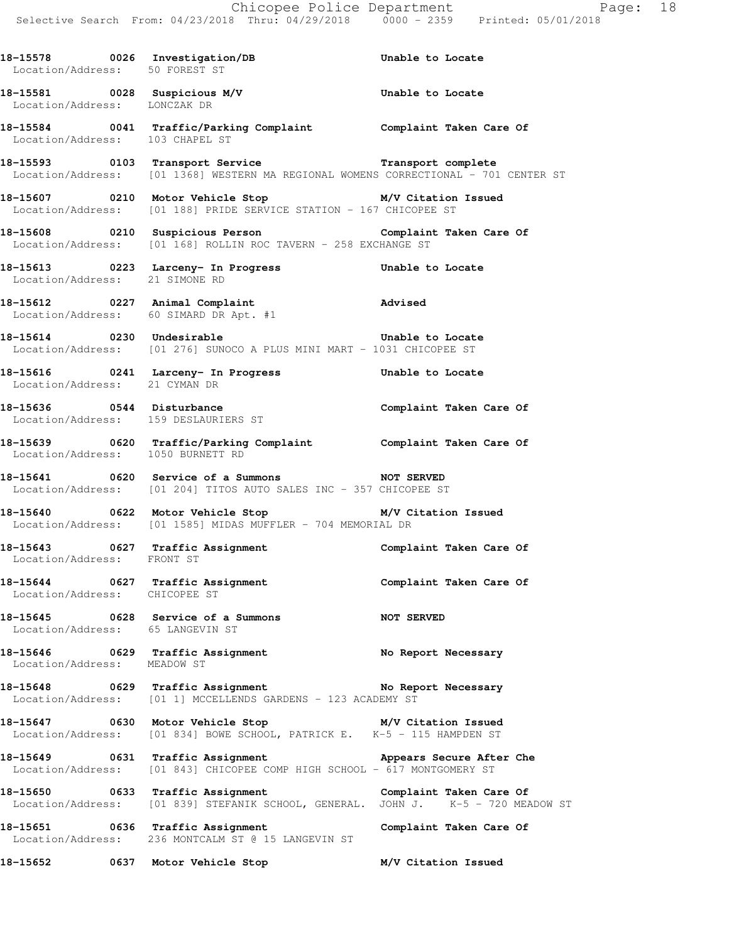|                                   |                                                                                                                                                                             | Chicopee Police Department<br>Selective Search From: 04/23/2018 Thru: 04/29/2018 0000 - 2359 Printed: 05/01/2018 |
|-----------------------------------|-----------------------------------------------------------------------------------------------------------------------------------------------------------------------------|------------------------------------------------------------------------------------------------------------------|
|                                   | 18-15578 0026 Investigation/DB 5 Unable to Locate Location/Address: 50 FOREST ST                                                                                            |                                                                                                                  |
| Location/Address: LONCZAK DR      | 18-15581 0028 Suspicious M/V Unable to Locate                                                                                                                               |                                                                                                                  |
| Location/Address: 103 CHAPEL ST   | 18-15584 0041 Traffic/Parking Complaint Complaint Taken Care Of                                                                                                             |                                                                                                                  |
|                                   | 18-15593 0103 Transport Service <b>1888</b> Transport complete<br>Location/Address: [01 1368] WESTERN MA REGIONAL WOMENS CORRECTIONAL - 701 CENTER ST                       |                                                                                                                  |
|                                   | 18-15607 0210 Motor Vehicle Stop M/V Citation Issued<br>Location/Address: [01 188] PRIDE SERVICE STATION - 167 CHICOPEE ST                                                  |                                                                                                                  |
|                                   | 18-15608 0210 Suspicious Person Complaint Taken Care Of<br>Location/Address: [01 168] ROLLIN ROC TAVERN - 258 EXCHANGE ST                                                   |                                                                                                                  |
| Location/Address: 21 SIMONE RD    | 18-15613 (0223 Larceny- In Progress (1988) Unable to Locate                                                                                                                 |                                                                                                                  |
|                                   | 18-15612 0227 Animal Complaint 18-15612 Advised<br>Location/Address: 60 SIMARD DR Apt. #1                                                                                   |                                                                                                                  |
| 18-15614 0230 Undesirable         | Unable to Locate<br>Location/Address: [01 276] SUNOCO A PLUS MINI MART - 1031 CHICOPEE ST                                                                                   |                                                                                                                  |
|                                   |                                                                                                                                                                             |                                                                                                                  |
|                                   | Location/Address: 159 DESLAURIERS ST                                                                                                                                        |                                                                                                                  |
| Location/Address: 1050 BURNETT RD | 18-15639 0620 Traffic/Parking Complaint Complaint Taken Care Of                                                                                                             |                                                                                                                  |
|                                   | 18-15641 0620 Service of a Summons NOT SERVED<br>Location/Address: [01 204] TITOS AUTO SALES INC - 357 CHICOPEE ST                                                          |                                                                                                                  |
|                                   | 18-15640 0622 Motor Vehicle Stop M/V Citation Issued<br>Location/Address: [01 1585] MIDAS MUFFLER - 704 MEMORIAL DR                                                         |                                                                                                                  |
| Location/Address: FRONT ST        | 18-15643 0627 Traffic Assignment 18-15643 Complaint Taken Care Of                                                                                                           |                                                                                                                  |
| Location/Address: CHICOPEE ST     | 18-15644 0627 Traffic Assignment Complaint Taken Care Of                                                                                                                    |                                                                                                                  |
| Location/Address: 65 LANGEVIN ST  | 18-15645 0628 Service of a Summons NOT SERVED                                                                                                                               |                                                                                                                  |
| Location/Address: MEADOW ST       | 18-15646 0629 Traffic Assignment No Report Necessary                                                                                                                        |                                                                                                                  |
|                                   | 18-15648 0629 Traffic Assignment No Report Necessary<br>Location/Address: [01 1] MCCELLENDS GARDENS - 123 ACADEMY ST                                                        |                                                                                                                  |
|                                   | 18-15647 0630 Motor Vehicle Stop M/V Citation Issued<br>Location/Address: [01 834] BOWE SCHOOL, PATRICK E. K-5 - 115 HAMPDEN ST                                             |                                                                                                                  |
|                                   | 18-15649 0631 Traffic Assignment 1997 Appears Secure After Che<br>Location/Address: [01 843] CHICOPEE COMP HIGH SCHOOL - 617 MONTGOMERY ST                                  |                                                                                                                  |
|                                   | 18-15650 0633 Traffic Assignment Complaint Taken Care Of Complaint Complaint Caken Care Of Location/Address: [01 839] STEFANIK SCHOOL, GENERAL. JOHN J. K-5 - 720 MEADOW ST |                                                                                                                  |
|                                   | 18-15651 0636 Traffic Assignment 18-15651 Complaint Taken Care Of<br>Location/Address: 236 MONTCALM ST @ 15 LANGEVIN ST                                                     |                                                                                                                  |
|                                   | 18-15652 0637 Motor Vehicle Stop                                                                                                                                            | M/V Citation Issued                                                                                              |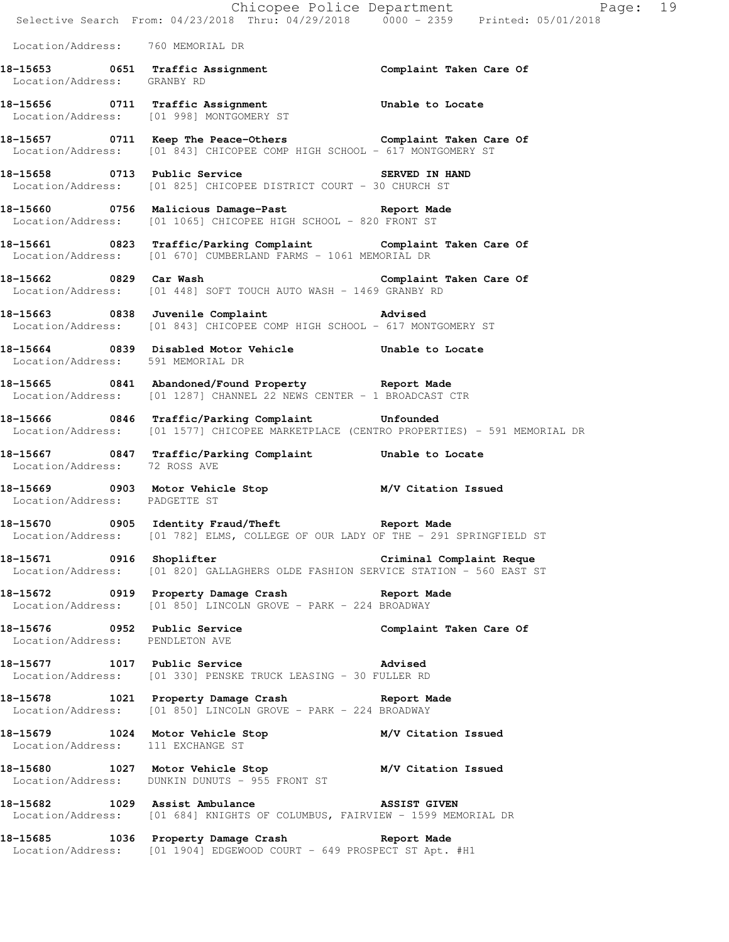|                                   | E Chicopee Police Department<br>Selective Search From: 04/23/2018 Thru: 04/29/2018 0000 - 2359 Printed: 05/01/2018                          | Page: 19                |  |
|-----------------------------------|---------------------------------------------------------------------------------------------------------------------------------------------|-------------------------|--|
|                                   |                                                                                                                                             |                         |  |
| Location/Address: 760 MEMORIAL DR |                                                                                                                                             |                         |  |
| Location/Address: GRANBY RD       | 18-15653 0651 Traffic Assignment 18-15653 Complaint Taken Care Of                                                                           |                         |  |
|                                   | 18-15656 0711 Traffic Assignment Chable to Locate<br>Location/Address: [01 998] MONTGOMERY ST                                               |                         |  |
|                                   | 18-15657 0711 Keep The Peace-Others Complaint Taken Care Of Location/Address: [01 843] CHICOPEE COMP HIGH SCHOOL - 617 MONTGOMERY ST        |                         |  |
|                                   | 18-15658 0713 Public Service SERVED IN HAND<br>Location/Address: [01 825] CHICOPEE DISTRICT COURT - 30 CHURCH ST                            |                         |  |
|                                   | 18-15660 0756 Malicious Damage-Past 18-15660<br>Location/Address: [01 1065] CHICOPEE HIGH SCHOOL - 820 FRONT ST                             |                         |  |
|                                   | 18-15661 0823 Traffic/Parking Complaint Complaint Taken Care Of Location/Address: [01 670] CUMBERLAND FARMS - 1061 MEMORIAL DR              |                         |  |
|                                   | -<br>18-15662 18-15662 0829 Car Wash 18-15662 Complaint Taken Care Of<br>Location/Address: [01 448] SOFT TOUCH AUTO WASH - 1469 GRANBY RD   |                         |  |
|                                   | 18-15663 0838 Juvenile Complaint 18-15663 Advised<br>Location/Address: [01 843] CHICOPEE COMP HIGH SCHOOL - 617 MONTGOMERY ST               |                         |  |
| Location/Address: 591 MEMORIAL DR | 18-15664 0839 Disabled Motor Vehicle Chable to Locate                                                                                       |                         |  |
|                                   | 18-15665 0841 Abandoned/Found Property Report Made<br>Location/Address: [01 1287] CHANNEL 22 NEWS CENTER - 1 BROADCAST CTR                  |                         |  |
|                                   | 18-15666 0846 Traffic/Parking Complaint Unfounded<br>Location/Address: [01 1577] CHICOPEE MARKETPLACE (CENTRO PROPERTIES) - 591 MEMORIAL DR |                         |  |
| Location/Address: 72 ROSS AVE     | 18-15667 0847 Traffic/Parking Complaint Unable to Locate                                                                                    |                         |  |
| Location/Address: PADGETTE ST     | 18-15669 0903 Motor Vehicle Stop M/V Citation Issued                                                                                        |                         |  |
|                                   | 18-15670 0905 Identity Fraud/Theft 18-15670 Report Made<br>Location/Address: [01 782] ELMS, COLLEGE OF OUR LADY OF THE - 291 SPRINGFIELD ST |                         |  |
|                                   | 18-15671 0916 Shoplifter Criminal Complaint Reque<br>Location/Address: [01 820] GALLAGHERS OLDE FASHION SERVICE STATION - 560 EAST ST       |                         |  |
|                                   | 18-15672 0919 Property Damage Crash Report Made<br>Location/Address: [01 850] LINCOLN GROVE - PARK - 224 BROADWAY                           |                         |  |
| Location/Address: PENDLETON AVE   | 18-15676 0952 Public Service                                                                                                                | Complaint Taken Care Of |  |
|                                   | 18-15677 1017 Public Service 2012 2013 Advised<br>Location/Address: [01 330] PENSKE TRUCK LEASING - 30 FULLER RD                            |                         |  |
|                                   | 18-15678 1021 Property Damage Crash Report Made<br>Location/Address: [01 850] LINCOLN GROVE - PARK - 224 BROADWAY                           |                         |  |
| Location/Address: 111 EXCHANGE ST | 18-15679 1024 Motor Vehicle Stop M/V Citation Issued<br>Location/Address: 111 EXCHANGE ST                                                   |                         |  |
|                                   | 18-15680 1027 Motor Vehicle Stop M/V Citation Issued<br>Location/Address: DUNKIN DUNUTS - 955 FRONT ST                                      |                         |  |
|                                   | 18-15682 1029 Assist Ambulance ASSIST GIVEN<br>Location/Address: [01 684] KNIGHTS OF COLUMBUS, FAIRVIEW - 1599 MEMORIAL DR                  |                         |  |
|                                   | 18-15685 1036 Property Damage Crash Report Made<br>Location/Address: [01 1904] EDGEWOOD COURT - 649 PROSPECT ST Apt. #H1                    |                         |  |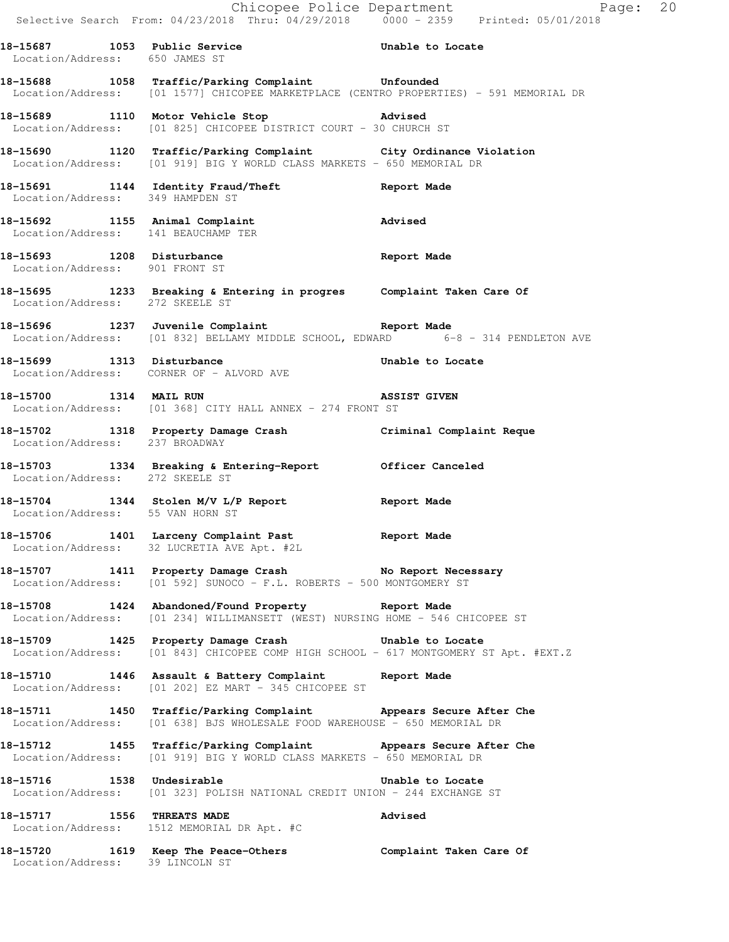|                                     |                                                                                                                                                | Chicopee Police Department<br>Selective Search From: 04/23/2018 Thru: 04/29/2018 0000 - 2359 Printed: 05/01/2018 |  |
|-------------------------------------|------------------------------------------------------------------------------------------------------------------------------------------------|------------------------------------------------------------------------------------------------------------------|--|
| Location/Address: 650 JAMES ST      | 18-15687 1053 Public Service 2011 Unable to Locate                                                                                             |                                                                                                                  |  |
|                                     | 18-15688 1058 Traffic/Parking Complaint Unfounded<br>Location/Address: [01 1577] CHICOPEE MARKETPLACE (CENTRO PROPERTIES) - 591 MEMORIAL DR    |                                                                                                                  |  |
|                                     | 18-15689 1110 Motor Vehicle Stop Advised<br>Location/Address: [01 825] CHICOPEE DISTRICT COURT - 30 CHURCH ST                                  |                                                                                                                  |  |
|                                     | 18-15690 1120 Traffic/Parking Complaint City Ordinance Violation<br>Location/Address: [01 919] BIG Y WORLD CLASS MARKETS - 650 MEMORIAL DR     |                                                                                                                  |  |
|                                     | 18-15691 1144 Identity Fraud/Theft Report Made Location/Address: 349 HAMPDEN ST                                                                |                                                                                                                  |  |
| Location/Address: 141 BEAUCHAMP TER | 18-15692 1155 Animal Complaint 18-15692                                                                                                        |                                                                                                                  |  |
| Location/Address: 901 FRONT ST      | 18-15693 1208 Disturbance                                                                                                                      | Report Made                                                                                                      |  |
| Location/Address: 272 SKEELE ST     | 18-15695 1233 Breaking & Entering in progres Complaint Taken Care Of                                                                           |                                                                                                                  |  |
|                                     | 18-15696 1237 Juvenile Complaint 18-15696 Report Made<br>Location/Address: [01 832] BELLAMY MIDDLE SCHOOL, EDWARD 6-8 - 314 PENDLETON AVE      |                                                                                                                  |  |
|                                     | 18-15699 1313 Disturbance<br>Location/Address: CORNER OF - ALVORD AVE                                                                          | Unable to Locate                                                                                                 |  |
| 18-15700 1314 MAIL RUN              | Location/Address: [01 368] CITY HALL ANNEX - 274 FRONT ST                                                                                      | ASSIST GIVEN                                                                                                     |  |
| Location/Address: 237 BROADWAY      | 18-15702 1318 Property Damage Crash Criminal Complaint Reque                                                                                   |                                                                                                                  |  |
|                                     | 18-15703 1334 Breaking & Entering-Report Officer Canceled Location/Address: 272 SKEELE ST                                                      |                                                                                                                  |  |
|                                     | 18-15704 1344 Stolen M/V L/P Report 15704 Report Made<br>Location/Address: 55 VAN HORN ST                                                      |                                                                                                                  |  |
|                                     | 18-15706 1401 Larceny Complaint Past Report Made<br>Location/Address: 32 LUCRETIA AVE Apt. #2L                                                 |                                                                                                                  |  |
|                                     | 18-15707 1411 Property Damage Crash No Report Necessary<br>Location/Address: [01 592] SUNOCO - F.L. ROBERTS - 500 MONTGOMERY ST                |                                                                                                                  |  |
|                                     | 18-15708 1424 Abandoned/Found Property Report Made<br>Location/Address: [01 234] WILLIMANSETT (WEST) NURSING HOME - 546 CHICOPEE ST            |                                                                                                                  |  |
|                                     | 18-15709 1425 Property Damage Crash 5 Unable to Locate<br>Location/Address: [01 843] CHICOPEE COMP HIGH SCHOOL - 617 MONTGOMERY ST Apt. #EXT.Z |                                                                                                                  |  |
|                                     | 18-15710 1446 Assault & Battery Complaint Report Made<br>Location/Address: [01 202] EZ MART - 345 CHICOPEE ST                                  |                                                                                                                  |  |
|                                     | 18-15711 1450 Traffic/Parking Complaint Appears Secure After Che<br>Location/Address: [01 638] BJS WHOLESALE FOOD WAREHOUSE - 650 MEMORIAL DR  |                                                                                                                  |  |
|                                     | 18-15712 1455 Traffic/Parking Complaint Appears Secure After Che<br>Location/Address: [01 919] BIG Y WORLD CLASS MARKETS - 650 MEMORIAL DR     |                                                                                                                  |  |
| 18-15716 1538 Undesirable           | Location/Address: [01 323] POLISH NATIONAL CREDIT UNION - 244 EXCHANGE ST                                                                      | Unable to Locate                                                                                                 |  |
| 18-15717 1556 THREATS MADE          | Location/Address: 1512 MEMORIAL DR Apt. #C                                                                                                     | Advised                                                                                                          |  |
|                                     | 18-15720   1619   Keep The Peace-Others   Complaint Taken Care Of Location/Address: 39 LINCOLN ST                                              |                                                                                                                  |  |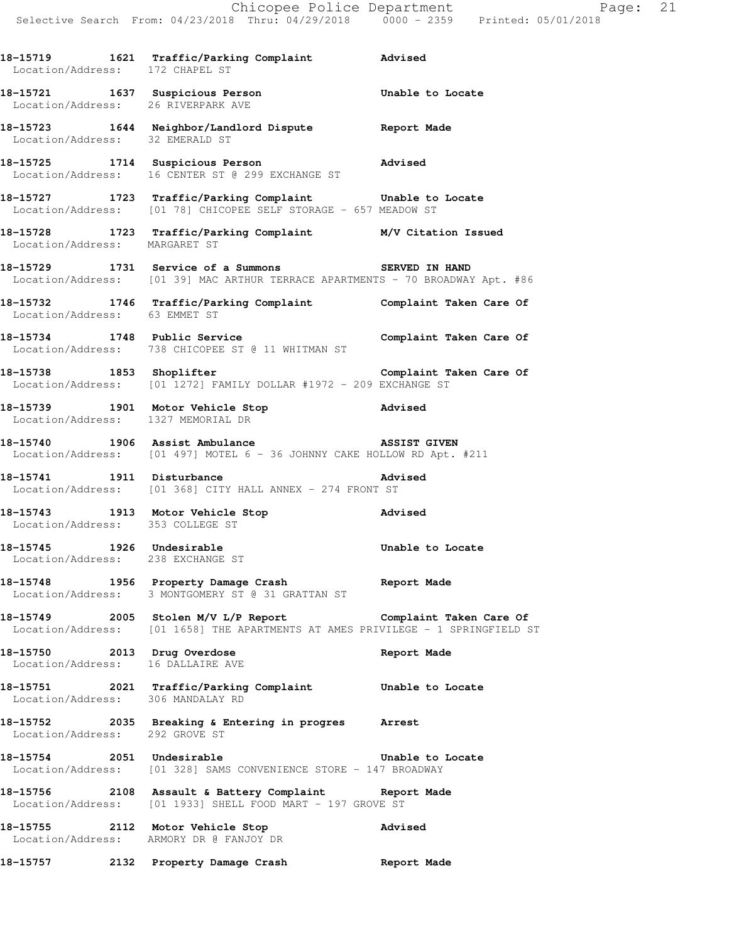**18-15719 1621 Traffic/Parking Complaint Advised**  Location/Address: 172 CHAPEL ST **18-15721 1637 Suspicious Person Unable to Locate**  Location/Address: 26 RIVERPARK AVE **18-15723 1644 Neighbor/Landlord Dispute Report Made**  Location/Address: 32 EMERALD ST **18-15725 1714 Suspicious Person Advised**  Location/Address: 16 CENTER ST @ 299 EXCHANGE ST **18-15727 1723 Traffic/Parking Complaint Unable to Locate**  Location/Address: [01 78] CHICOPEE SELF STORAGE - 657 MEADOW ST **18-15728 1723 Traffic/Parking Complaint M/V Citation Issued**  Location/Address: MARGARET ST 18-15729 1731 Service of a Summons SERVED IN HAND Location/Address: [01 39] MAC ARTHUR TERRACE APARTMENTS - 70 BROADWAY Apt. #86 **18-15732 1746 Traffic/Parking Complaint Complaint Taken Care Of**  Location/Address: 63 EMMET ST **18-15734 1748 Public Service Complaint Taken Care Of**  Location/Address: 738 CHICOPEE ST @ 11 WHITMAN ST **18-15738 1853 Shoplifter Complaint Taken Care Of**  Location/Address: [01 1272] FAMILY DOLLAR #1972 - 209 EXCHANGE ST **18-15739 1901 Motor Vehicle Stop Advised**  Location/Address: 1327 MEMORIAL DR **18-15740 1906 Assist Ambulance ASSIST GIVEN**  Location/Address: [01 497] MOTEL 6 - 36 JOHNNY CAKE HOLLOW RD Apt. #211 **18-15741 1911 Disturbance Advised**  Location/Address: [01 368] CITY HALL ANNEX - 274 FRONT ST **18-15743 1913 Motor Vehicle Stop Advised**  Location/Address: 353 COLLEGE ST **18-15745 1926 Undesirable Unable to Locate**  Location/Address: 238 EXCHANGE ST **18-15748 1956 Property Damage Crash Report Made**  Location/Address: 3 MONTGOMERY ST @ 31 GRATTAN ST **18-15749 2005 Stolen M/V L/P Report Complaint Taken Care Of**  Location/Address: [01 1658] THE APARTMENTS AT AMES PRIVILEGE - 1 SPRINGFIELD ST **18-15750 2013 Drug Overdose Report Made**  Location/Address: 16 DALLAIRE AVE **18-15751 2021 Traffic/Parking Complaint Unable to Locate**  Location/Address: 306 MANDALAY RD **18-15752 2035 Breaking & Entering in progres Arrest**  Location/Address: 292 GROVE ST **18-15754 2051 Undesirable Unable to Locate**  Location/Address: [01 328] SAMS CONVENIENCE STORE - 147 BROADWAY **18-15756 2108 Assault & Battery Complaint Report Made**  Location/Address: [01 1933] SHELL FOOD MART - 197 GROVE ST **18-15755 2112 Motor Vehicle Stop Advised**  Location/Address: ARMORY DR @ FANJOY DR **18-15757 2132 Property Damage Crash Report Made**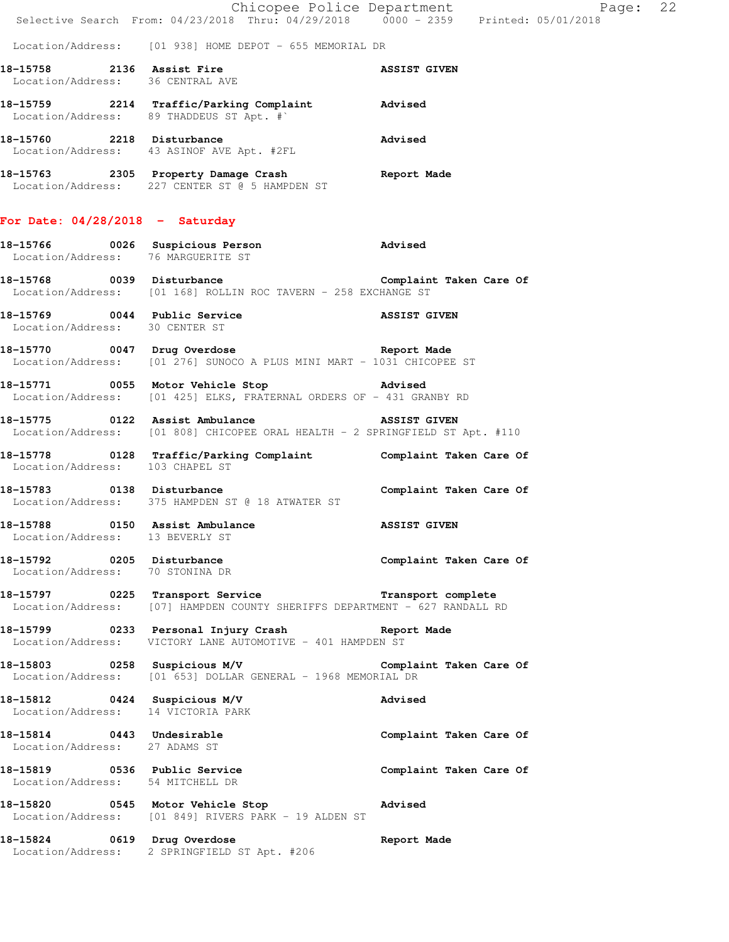|                                                              | Chicopee Police Department<br>Selective Search From: 04/23/2018 Thru: 04/29/2018 0000 - 2359 Printed: 05/01/2018                                  |                         |
|--------------------------------------------------------------|---------------------------------------------------------------------------------------------------------------------------------------------------|-------------------------|
|                                                              | Location/Address: [01 938] HOME DEPOT - 655 MEMORIAL DR                                                                                           |                         |
|                                                              | 18-15758 2136 Assist Fire 20136 ASSIST GIVEN ASSIST GIVEN                                                                                         |                         |
|                                                              | 18-15759 2214 Traffic/Parking Complaint Advised<br>Location/Address: 89 THADDEUS ST Apt. #`                                                       |                         |
|                                                              | 18-15760 2218 Disturbance<br>Location/Address: 43 ASINOF AVE Apt. #2FL                                                                            | Advised                 |
|                                                              | 18-15763 2305 Property Damage Crash Report Made<br>Location/Address: 227 CENTER ST @ 5 HAMPDEN ST                                                 |                         |
| For Date: $04/28/2018$ - Saturday                            |                                                                                                                                                   |                         |
|                                                              | 18-15766 0026 Suspicious Person advised<br>Location/Address: 76 MARGUERITE ST                                                                     |                         |
|                                                              | 18-15768 0039 Disturbance Complaint Taken Care Of<br>Location/Address: [01 168] ROLLIN ROC TAVERN - 258 EXCHANGE ST                               |                         |
| Location/Address: 30 CENTER ST                               | 18-15769 0044 Public Service ASSIST GIVEN                                                                                                         |                         |
|                                                              | 18-15770 0047 Drug Overdose 1988 and Report Made<br>Location/Address: [01 276] SUNOCO A PLUS MINI MART - 1031 CHICOPEE ST                         |                         |
|                                                              | 18-15771 0055 Motor Vehicle Stop 30 Advised<br>Location/Address: [01 425] ELKS, FRATERNAL ORDERS OF - 431 GRANBY RD                               |                         |
|                                                              | 18-15775 0122 Assist Ambulance ASSIST GIVEN<br>Location/Address: [01 808] CHICOPEE ORAL HEALTH - 2 SPRINGFIELD ST Apt. #110                       |                         |
|                                                              | 18-15778 0128 Traffic/Parking Complaint Complaint Taken Care Of Location/Address: 103 CHAPEL ST                                                   |                         |
|                                                              | 18-15783 0138 Disturbance<br>Location/Address: 375 HAMPDEN ST @ 18 ATWATER ST                                                                     | Complaint Taken Care Of |
| Location/Address: 13 BEVERLY ST                              | 18-15788 0150 Assist Ambulance ASSIST GIVEN                                                                                                       |                         |
| 18-15792 0205 Disturbance<br>Location/Address: 70 STONINA DR |                                                                                                                                                   | Complaint Taken Care Of |
|                                                              | 18-15797 0225 Transport Service <b>Transport Transport complete</b><br>Location/Address: [07] HAMPDEN COUNTY SHERIFFS DEPARTMENT - 627 RANDALL RD |                         |
|                                                              | 18-15799 0233 Personal Injury Crash 18-15799 Neport Made<br>Location/Address: VICTORY LANE AUTOMOTIVE - 401 HAMPDEN ST                            |                         |
|                                                              | 18-15803 0258 Suspicious M/V Complaint Taken Care Of<br>Location/Address: [01 653] DOLLAR GENERAL - 1968 MEMORIAL DR                              |                         |
|                                                              | 18-15812 0424 Suspicious M/V<br>Location/Address: 14 VICTORIA PARK                                                                                | Advised                 |
| Location/Address: 27 ADAMS ST                                | 18-15814 0443 Undesirable                                                                                                                         | Complaint Taken Care Of |
|                                                              | 18-15819 0536 Public Service<br>Location/Address: 54 MITCHELL DR                                                                                  | Complaint Taken Care Of |
|                                                              | 18-15820 0545 Motor Vehicle Stop Advised<br>Location/Address: [01 849] RIVERS PARK - 19 ALDEN ST                                                  |                         |
| 18-15824 0619 Drug Overdose                                  | Location/Address: 2 SPRINGFIELD ST Apt. #206                                                                                                      | Report Made             |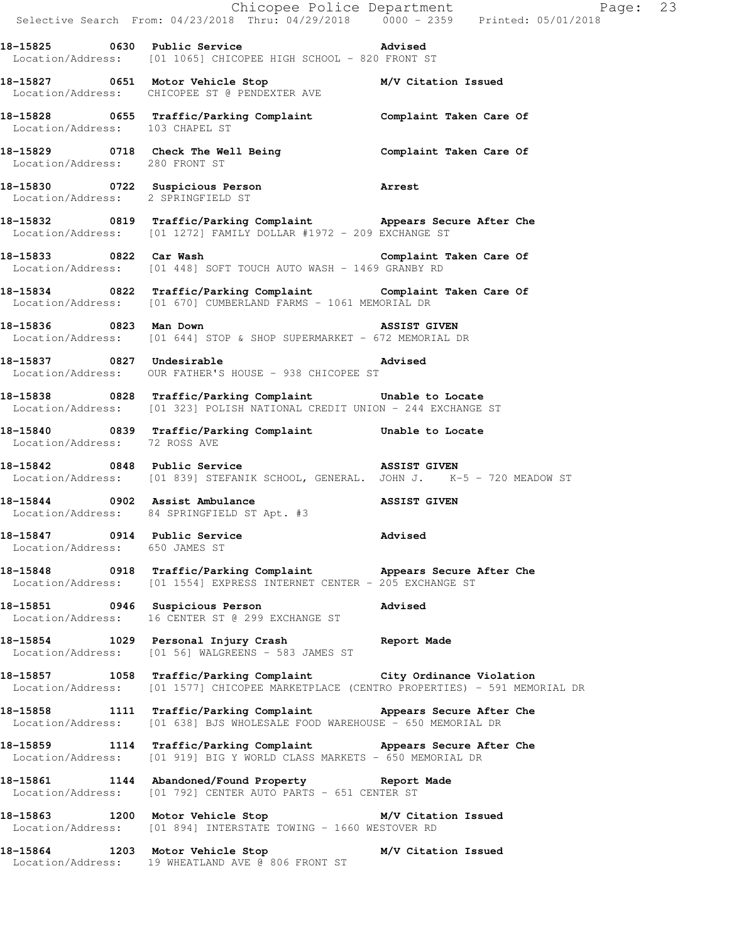|                                                                | E Chicopee Police Department<br>Selective Search From: 04/23/2018 Thru: 04/29/2018 0000 - 2359 Printed: 05/01/2018                                         | Page: 23     |
|----------------------------------------------------------------|------------------------------------------------------------------------------------------------------------------------------------------------------------|--------------|
|                                                                | 18-15825 0630 Public Service 2011 2011 2021<br>Location/Address: [01 1065] CHICOPEE HIGH SCHOOL - 820 FRONT ST                                             |              |
|                                                                | 18-15827 0651 Motor Vehicle Stop M/V Citation Issued<br>Location/Address: CHICOPEE ST @ PENDEXTER AVE                                                      |              |
|                                                                | 18-15828 0655 Traffic/Parking Complaint Complaint Taken Care Of Location/Address: 103 CHAPEL ST                                                            |              |
|                                                                | 18-15829 0718 Check The Well Being Complaint Taken Care Of Location/Address: 280 FRONT ST                                                                  |              |
|                                                                | 18-15830 0722 Suspicious Person Arrest<br>Location/Address: 2 SPRINGFIELD ST                                                                               |              |
|                                                                | 18-15832 0819 Traffic/Parking Complaint Appears Secure After Che<br>Location/Address: [01 1272] FAMILY DOLLAR #1972 - 209 EXCHANGE ST                      |              |
|                                                                | 18-15833 0822 Car Wash 18-15833 Complaint Taken Care Of<br>Location/Address: [01 448] SOFT TOUCH AUTO WASH - 1469 GRANBY RD                                |              |
|                                                                | 18-15834 0822 Traffic/Parking Complaint Complaint Taken Care Of<br>Location/Address: [01 670] CUMBERLAND FARMS - 1061 MEMORIAL DR                          |              |
| 18-15836 0823 Man Down                                         | <b>ASSIST GIVEN</b><br>Location/Address: [01 644] STOP & SHOP SUPERMARKET - 672 MEMORIAL DR                                                                |              |
|                                                                | 18-15837 0827 Undesirable 2008 advised<br>Location/Address: OUR FATHER'S HOUSE - 938 CHICOPEE ST                                                           |              |
|                                                                | 18-15838 0828 Traffic/Parking Complaint Unable to Locate<br>Location/Address: [01 323] POLISH NATIONAL CREDIT UNION - 244 EXCHANGE ST                      |              |
| Location/Address: 72 ROSS AVE                                  | 18-15840 0839 Traffic/Parking Complaint Unable to Locate                                                                                                   |              |
|                                                                | 18-15842 0848 Public Service<br>Location/Address: [01 839] STEFANIK SCHOOL, GENERAL. JOHN J. K-5 - 720 MEADOW ST                                           | ASSIST GIVEN |
|                                                                | 18-15844 0902 Assist Ambulance <b>1888</b> ASSIST GIVEN<br>Location/Address: 84 SPRINGFIELD ST Apt. #3                                                     |              |
| 18-15847 0914 Public Service<br>Location/Address: 650 JAMES ST | Advised                                                                                                                                                    |              |
|                                                                | 18-15848 0918 Traffic/Parking Complaint Appears Secure After Che<br>Location/Address: [01 1554] EXPRESS INTERNET CENTER - 205 EXCHANGE ST                  |              |
|                                                                | 18-15851 0946 Suspicious Person<br>Location/Address: 16 CENTER ST @ 299 EXCHANGE ST                                                                        | Advised      |
|                                                                | 18-15854 1029 Personal Injury Crash 18-15854 Report Made<br>Location/Address: [01 56] WALGREENS - 583 JAMES ST                                             |              |
|                                                                | 18-15857 1058 Traffic/Parking Complaint City Ordinance Violation<br>Location/Address: [01 1577] CHICOPEE MARKETPLACE (CENTRO PROPERTIES) - 591 MEMORIAL DR |              |
|                                                                | 18-15858 1111 Traffic/Parking Complaint Appears Secure After Che<br>Location/Address: [01 638] BJS WHOLESALE FOOD WAREHOUSE - 650 MEMORIAL DR              |              |
|                                                                | 18-15859 1114 Traffic/Parking Complaint Appears Secure After Che<br>Location/Address: [01 919] BIG Y WORLD CLASS MARKETS - 650 MEMORIAL DR                 |              |
|                                                                | 18-15861 1144 Abandoned/Found Property Report Made<br>Location/Address: [01 792] CENTER AUTO PARTS - 651 CENTER ST                                         |              |
|                                                                | 18-15863 1200 Motor Vehicle Stop M/V Citation Issued<br>Location/Address: [01 894] INTERSTATE TOWING - 1660 WESTOVER RD                                    |              |
|                                                                | 18-15864 1203 Motor Vehicle Stop M/V Citation Issued<br>Location/Address: 19 WHEATLAND AVE @ 806 FRONT ST                                                  |              |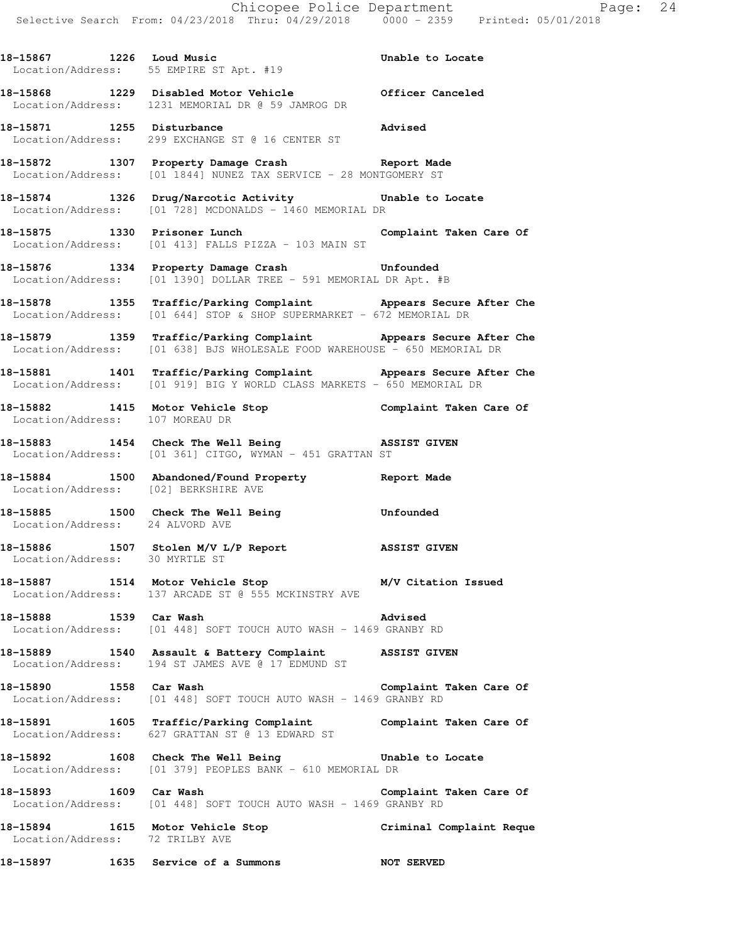**18-15867 1226 Loud Music Unable to Locate**  Location/Address: 55 EMPIRE ST Apt. #19 **18-15868 1229 Disabled Motor Vehicle Officer Canceled**  Location/Address: 1231 MEMORIAL DR @ 59 JAMROG DR **18-15871 1255 Disturbance Advised**  Location/Address: 299 EXCHANGE ST @ 16 CENTER ST **18-15872 1307 Property Damage Crash Report Made**  Location/Address: [01 1844] NUNEZ TAX SERVICE - 28 MONTGOMERY ST **18-15874 1326 Drug/Narcotic Activity Unable to Locate**  Location/Address: [01 728] MCDONALDS - 1460 MEMORIAL DR 18-15875 1330 Prisoner Lunch **Complaint Taken Care Of**  Location/Address: [01 413] FALLS PIZZA - 103 MAIN ST **18-15876 1334 Property Damage Crash Unfounded**  Location/Address: [01 1390] DOLLAR TREE - 591 MEMORIAL DR Apt. #B **18-15878 1355 Traffic/Parking Complaint Appears Secure After Che**  Location/Address: [01 644] STOP & SHOP SUPERMARKET - 672 MEMORIAL DR **18-15879 1359 Traffic/Parking Complaint Appears Secure After Che**  Location/Address: [01 638] BJS WHOLESALE FOOD WAREHOUSE - 650 MEMORIAL DR **18-15881 1401 Traffic/Parking Complaint Appears Secure After Che**  Location/Address: [01 919] BIG Y WORLD CLASS MARKETS - 650 MEMORIAL DR **18-15882 1415 Motor Vehicle Stop Complaint Taken Care Of**  Location/Address: 107 MOREAU DR **18-15883 1454 Check The Well Being ASSIST GIVEN**  Location/Address: [01 361] CITGO, WYMAN - 451 GRATTAN ST **18-15884 1500 Abandoned/Found Property Report Made**  Location/Address: [02] BERKSHIRE AVE **18-15885 1500 Check The Well Being Unfounded**  Location/Address: 24 ALVORD AVE **18-15886 1507 Stolen M/V L/P Report ASSIST GIVEN**  Location/Address: 30 MYRTLE ST **18-15887 1514 Motor Vehicle Stop M/V Citation Issued**  Location/Address: 137 ARCADE ST @ 555 MCKINSTRY AVE **18-15888 1539 Car Wash Advised**  Location/Address: [01 448] SOFT TOUCH AUTO WASH - 1469 GRANBY RD **18-15889 1540 Assault & Battery Complaint ASSIST GIVEN**  Location/Address: 194 ST JAMES AVE @ 17 EDMUND ST **18-15890 1558 Car Wash Complaint Taken Care Of**  Location/Address: [01 448] SOFT TOUCH AUTO WASH - 1469 GRANBY RD **18-15891 1605 Traffic/Parking Complaint Complaint Taken Care Of**  Location/Address: 627 GRATTAN ST @ 13 EDWARD ST **18-15892 1608 Check The Well Being Unable to Locate**  Location/Address: [01 379] PEOPLES BANK - 610 MEMORIAL DR **18-15893 1609 Car Wash Complaint Taken Care Of**  Location/Address: [01 448] SOFT TOUCH AUTO WASH - 1469 GRANBY RD **18-15894 1615 Motor Vehicle Stop Criminal Complaint Reque**  Location/Address: 72 TRILBY AVE **18-15897 1635 Service of a Summons NOT SERVED**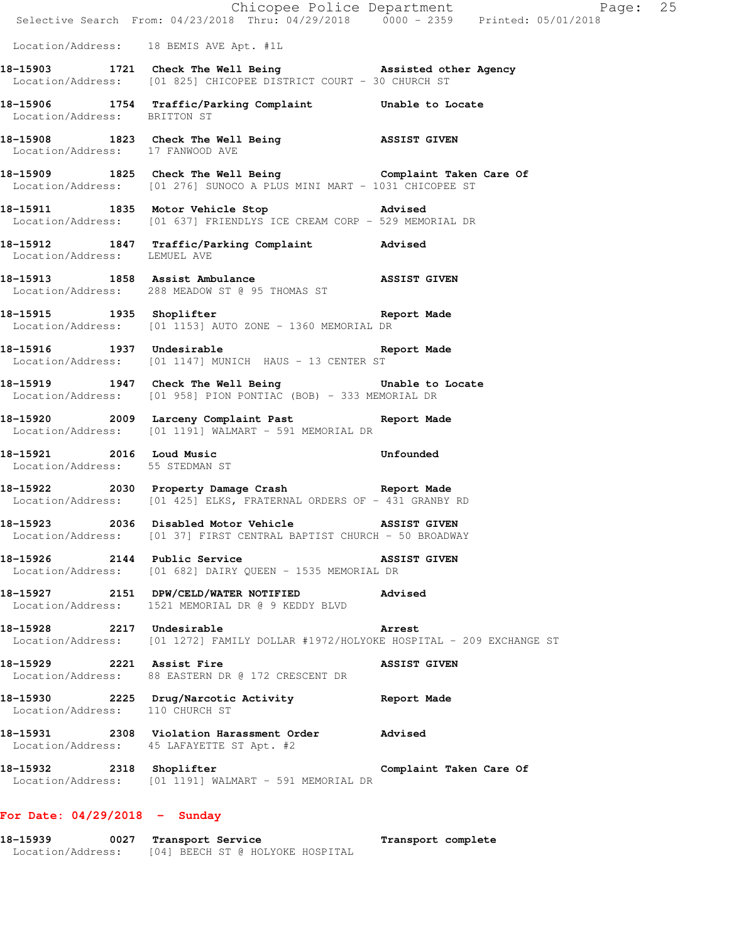|                                  | 18-15939 0027 Transport Service                                                                                                 | Transport complete      |
|----------------------------------|---------------------------------------------------------------------------------------------------------------------------------|-------------------------|
| For Date: $04/29/2018$ - Sunday  |                                                                                                                                 |                         |
|                                  | 18-15932 2318 Shoplifter<br>Location/Address: [01 1191] WALMART - 591 MEMORIAL DR                                               | Complaint Taken Care Of |
|                                  | 18-15931 2308 Violation Harassment Order Advised<br>Location/Address: 45 LAFAYETTE ST Apt. #2                                   |                         |
| Location/Address: 110 CHURCH ST  | 18-15930 2225 Drug/Narcotic Activity 6 Report Made                                                                              |                         |
|                                  | 18-15929 2221 Assist Fire<br>Location/Address: 88 EASTERN DR @ 172 CRESCENT DR                                                  | ASSIST GIVEN            |
| 18-15928 2217 Undesirable        | Arrest<br>Location/Address: [01 1272] FAMILY DOLLAR #1972/HOLYOKE HOSPITAL - 209 EXCHANGE ST                                    |                         |
|                                  | 18-15927 2151 DPW/CELD/WATER NOTIFIED Advised<br>Location/Address: 1521 MEMORIAL DR @ 9 KEDDY BLVD                              |                         |
| 18-15926 2144 Public Service     | Location/Address: [01 682] DAIRY QUEEN - 1535 MEMORIAL DR                                                                       | <b>ASSIST GIVEN</b>     |
|                                  | 18-15923 2036 Disabled Motor Vehicle ASSIST GIVEN<br>Location/Address: [01 37] FIRST CENTRAL BAPTIST CHURCH - 50 BROADWAY       |                         |
|                                  | Location/Address: [01 425] ELKS, FRATERNAL ORDERS OF - 431 GRANBY RD                                                            |                         |
|                                  | Location/Address: 55 STEDMAN ST<br>18-15922 2030 Property Damage Crash Report Made                                              |                         |
|                                  | Location/Address: [01 1191] WALMART - 591 MEMORIAL DR<br>18-15921 2016 Loud Music Unfounded                                     |                         |
|                                  | 18-15920 2009 Larceny Complaint Past Report Made                                                                                |                         |
|                                  | 18-15919 1947 Check The Well Being Thable to Locate<br>Location/Address: [01 958] PION PONTIAC (BOB) - 333 MEMORIAL DR          |                         |
|                                  | 18-15916 1937 Undesirable 18-15916 Report Made<br>Location/Address: [01 1147] MUNICH HAUS - 13 CENTER ST                        |                         |
|                                  | 18-15915 1935 Shoplifter and the Report Made<br>Location/Address: [01 1153] AUTO ZONE - 1360 MEMORIAL DR                        |                         |
|                                  | 18-15913 1858 Assist Ambulance 18-15913 ASSIST GIVEN<br>Location/Address: 288 MEADOW ST @ 95 THOMAS ST                          |                         |
| Location/Address: LEMUEL AVE     | 18-15912 1847 Traffic/Parking Complaint Advised                                                                                 |                         |
|                                  | Location/Address: [01 637] FRIENDLYS ICE CREAM CORP - 529 MEMORIAL DR                                                           |                         |
|                                  | Location/Address: [01 276] SUNOCO A PLUS MINI MART - 1031 CHICOPEE ST<br>18-15911 1835 Motor Vehicle Stop 318-15911             |                         |
| Location/Address: 17 FANWOOD AVE | 18-15909 1825 Check The Well Being Complaint Taken Care Of                                                                      |                         |
|                                  | 18-15908 1823 Check The Well Being 38SIST GIVEN                                                                                 |                         |
| Location/Address: BRITTON ST     | 18-15906 1754 Traffic/Parking Complaint Unable to Locate                                                                        |                         |
|                                  | 18-15903 1721 Check The Well Being 3 assisted other Agency<br>Location/Address: [01 825] CHICOPEE DISTRICT COURT - 30 CHURCH ST |                         |
|                                  | Location/Address: 18 BEMIS AVE Apt. #1L                                                                                         |                         |
|                                  | E Chicopee Police Department<br>Selective Search From: 04/23/2018 Thru: 04/29/2018 0000 - 2359 Printed: 05/01/2018              | Page: 25                |

Location/Address: [04] BEECH ST @ HOLYOKE HOSPITAL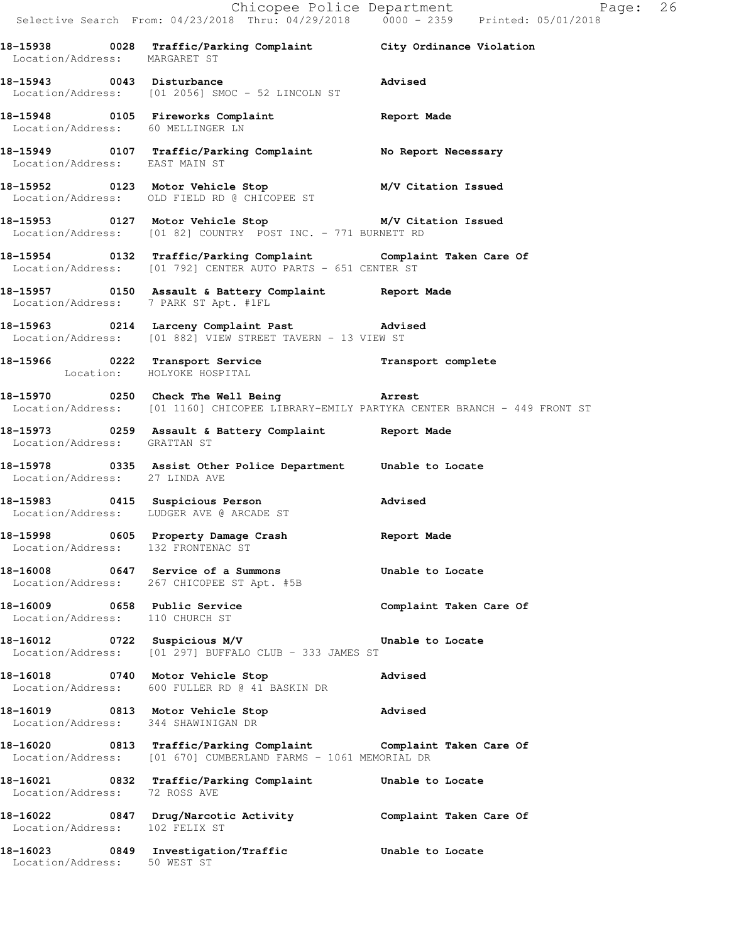|                                                                 | E Chicopee Police Department<br>Selective Search From: 04/23/2018 Thru: 04/29/2018 0000 - 2359 Printed: 05/01/2018                                            | Page: 26                |  |
|-----------------------------------------------------------------|---------------------------------------------------------------------------------------------------------------------------------------------------------------|-------------------------|--|
|                                                                 | 18-15938 0028 Traffic/Parking Complaint City Ordinance Violation<br>Location/Address: MARGARET ST                                                             |                         |  |
|                                                                 | 18-15943 0043 Disturbance and Marised<br>Location/Address: [01 2056] SMOC - 52 LINCOLN ST                                                                     |                         |  |
|                                                                 | 18-15948 0105 Fireworks Complaint Report Made<br>Location/Address: 60 MELLINGER LN                                                                            |                         |  |
|                                                                 | 18-15949 0107 Traffic/Parking Complaint No Report Necessary<br>Location/Address: EAST MAIN ST                                                                 |                         |  |
|                                                                 |                                                                                                                                                               |                         |  |
|                                                                 | 18-15953 0127 Motor Vehicle Stop M/V Citation Issued<br>Location/Address: [01 82] COUNTRY POST INC. - 771 BURNETT RD                                          |                         |  |
|                                                                 | 18-15954 0132 Traffic/Parking Complaint Complaint Taken Care Of<br>Location/Address: [01 792] CENTER AUTO PARTS - 651 CENTER ST                               |                         |  |
| Location/Address: 7 PARK ST Apt. #1FL                           | 18-15957 0150 Assault & Battery Complaint Report Made                                                                                                         |                         |  |
|                                                                 | 18-15963 0214 Larceny Complaint Past Advised<br>Location/Address: [01 882] VIEW STREET TAVERN - 13 VIEW ST                                                    |                         |  |
| Location: HOLYOKE HOSPITAL                                      | 18-15966 0222 Transport Service <b>18-15966</b> Transport complete                                                                                            |                         |  |
|                                                                 | 18-15970 0250 Check The Well Being <b>Exercise Constant</b> Arrest<br>Location/Address: [01 1160] CHICOPEE LIBRARY-EMILY PARTYKA CENTER BRANCH - 449 FRONT ST |                         |  |
| Location/Address: GRATTAN ST                                    | 18-15973 0259 Assault & Battery Complaint Report Made                                                                                                         |                         |  |
| Location/Address: 27 LINDA AVE                                  | 18-15978 0335 Assist Other Police Department Unable to Locate                                                                                                 |                         |  |
|                                                                 | 18-15983 0415 Suspicious Person Movised Location/Address: LUDGER AVE @ ARCADE ST                                                                              |                         |  |
| Location/Address: 132 FRONTENAC ST                              | 18-15998 0605 Property Damage Crash                                                                                                                           | Report Made             |  |
|                                                                 | 18-16008 0647 Service of a Summons<br>Location/Address: 267 CHICOPEE ST Apt. #5B                                                                              | Unable to Locate        |  |
| 18-16009 0658 Public Service<br>Location/Address: 110 CHURCH ST |                                                                                                                                                               | Complaint Taken Care Of |  |
|                                                                 | 18-16012 		 0722 Suspicious M/V 		 Unable to Locate<br>Location/Address: [01 297] BUFFALO CLUB - 333 JAMES ST                                                 |                         |  |
|                                                                 | 18-16018 0740 Motor Vehicle Stop<br>Location/Address: 600 FULLER RD @ 41 BASKIN DR                                                                            | Advised                 |  |
| Location/Address: 344 SHAWINIGAN DR                             | 18-16019 0813 Motor Vehicle Stop 31 Advised                                                                                                                   |                         |  |
|                                                                 | 18-16020 0813 Traffic/Parking Complaint Complaint Taken Care Of<br>Location/Address: [01 670] CUMBERLAND FARMS - 1061 MEMORIAL DR                             |                         |  |
| Location/Address: 72 ROSS AVE                                   | 18-16021 0832 Traffic/Parking Complaint Unable to Locate                                                                                                      |                         |  |
| Location/Address: 102 FELIX ST                                  | 18-16022 0847 Drug/Narcotic Activity Complaint Taken Care Of                                                                                                  |                         |  |
|                                                                 | 18-16023 0849 Investigation/Traffic <b>18-16023</b> Unable to Locate Location/Address: 50 WEST ST                                                             |                         |  |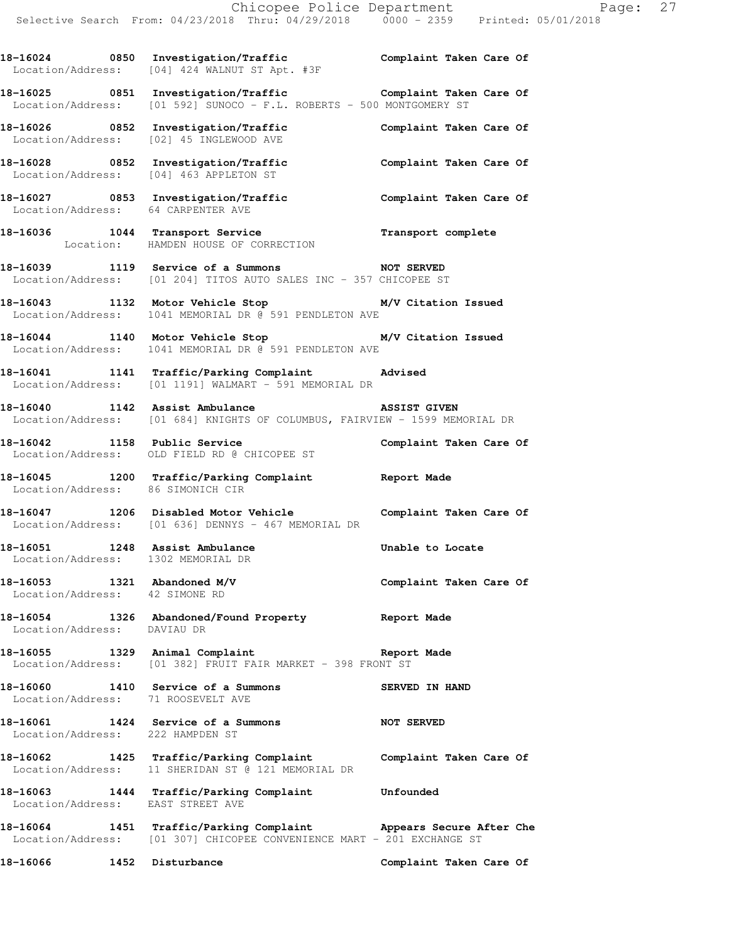18-16024 0850 Investigation/Traffic **Complaint Taken Care Of** 

Location/Address: [04] 424 WALNUT ST Apt. #3F

**18-16025 0851 Investigation/Traffic Complaint Taken Care Of**  Location/Address: [01 592] SUNOCO - F.L. ROBERTS - 500 MONTGOMERY ST **18-16026 0852 Investigation/Traffic Complaint Taken Care Of**  Location/Address: [02] 45 INGLEWOOD AVE **18-16028 0852 Investigation/Traffic Complaint Taken Care Of**  Location/Address: [04] 463 APPLETON ST **18-16027 0853 Investigation/Traffic Complaint Taken Care Of**  Location/Address: 64 CARPENTER AVE **18-16036 1044 Transport Service Transport complete**  Location: HAMDEN HOUSE OF CORRECTION **18-16039 1119 Service of a Summons NOT SERVED**  Location/Address: [01 204] TITOS AUTO SALES INC - 357 CHICOPEE ST **18-16043 1132 Motor Vehicle Stop M/V Citation Issued**  Location/Address: 1041 MEMORIAL DR @ 591 PENDLETON AVE **18-16044 1140 Motor Vehicle Stop M/V Citation Issued**  Location/Address: 1041 MEMORIAL DR @ 591 PENDLETON AVE **18-16041 1141 Traffic/Parking Complaint Advised**  Location/Address: [01 1191] WALMART - 591 MEMORIAL DR **18-16040 1142 Assist Ambulance ASSIST GIVEN**  Location/Address: [01 684] KNIGHTS OF COLUMBUS, FAIRVIEW - 1599 MEMORIAL DR 18-16042 1158 Public Service **Complaint Taken Care Of**  Location/Address: OLD FIELD RD @ CHICOPEE ST **18-16045 1200 Traffic/Parking Complaint Report Made**  Location/Address: 86 SIMONICH CIR **18-16047 1206 Disabled Motor Vehicle Complaint Taken Care Of**  Location/Address: [01 636] DENNYS - 467 MEMORIAL DR 18-16051 1248 Assist Ambulance **18-16051** Unable to Locate Location/Address: 1302 MEMORIAL DR **18-16053 1321 Abandoned M/V Complaint Taken Care Of**  Location/Address: 42 SIMONE RD **18-16054 1326 Abandoned/Found Property Report Made**  Location/Address: DAVIAU DR **18-16055 1329 Animal Complaint Report Made**  Location/Address: [01 382] FRUIT FAIR MARKET - 398 FRONT ST **18-16060 1410 Service of a Summons SERVED IN HAND**  Location/Address: 71 ROOSEVELT AVE **18-16061 1424 Service of a Summons NOT SERVED**  Location/Address: 222 HAMPDEN ST **18-16062 1425 Traffic/Parking Complaint Complaint Taken Care Of**  Location/Address: 11 SHERIDAN ST @ 121 MEMORIAL DR **18-16063 1444 Traffic/Parking Complaint Unfounded**  Location/Address: EAST STREET AVE **18-16064 1451 Traffic/Parking Complaint Appears Secure After Che**  Location/Address: [01 307] CHICOPEE CONVENIENCE MART - 201 EXCHANGE ST **18-16066 1452 Disturbance Complaint Taken Care Of**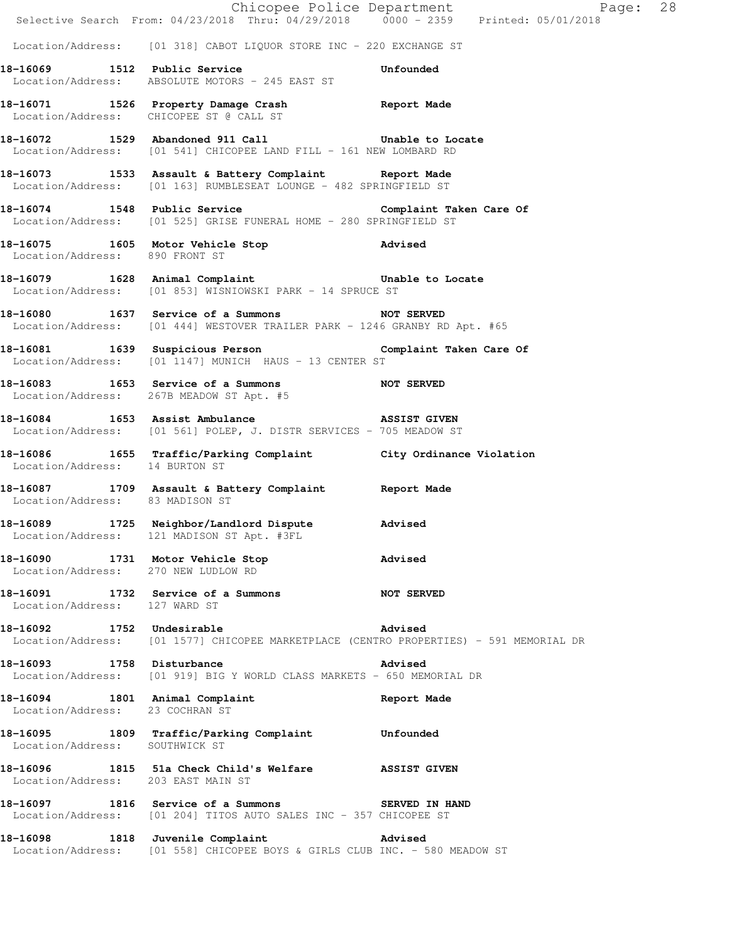|                                     | E Chicopee Police Department<br>Selective Search From: 04/23/2018 Thru: 04/29/2018 0000 - 2359 Printed: 05/01/2018           | Page: 28                   |  |
|-------------------------------------|------------------------------------------------------------------------------------------------------------------------------|----------------------------|--|
|                                     |                                                                                                                              |                            |  |
|                                     | Location/Address: [01 318] CABOT LIQUOR STORE INC - 220 EXCHANGE ST                                                          |                            |  |
|                                     | 18-16069 1512 Public Service<br>Location/Address: ABSOLUTE MOTORS - 245 EAST ST                                              | <b>Example 1</b> Unfounded |  |
|                                     | 18-16071 1526 Property Damage Crash Report Made<br>Location/Address: CHICOPEE ST @ CALL ST                                   |                            |  |
|                                     | 18-16072 1529 Abandoned 911 Call Call Unable to Locate<br>Location/Address: [01 541] CHICOPEE LAND FILL - 161 NEW LOMBARD RD |                            |  |
|                                     | 18-16073 1533 Assault & Battery Complaint Report Made<br>Location/Address: [01 163] RUMBLESEAT LOUNGE - 482 SPRINGFIELD ST   |                            |  |
|                                     | 18-16074 1548 Public Service Complaint Taken Care Of<br>Location/Address: [01 525] GRISE FUNERAL HOME - 280 SPRINGFIELD ST   |                            |  |
| Location/Address: 890 FRONT ST      | 18-16075 1605 Motor Vehicle Stop 318-16075                                                                                   |                            |  |
|                                     | 18-16079 1628 Animal Complaint Communicular Unable to Locate<br>Location/Address: [01 853] WISNIOWSKI PARK - 14 SPRUCE ST    |                            |  |
|                                     | 18-16080 1637 Service of a Summons NOT SERVED<br>Location/Address: [01 444] WESTOVER TRAILER PARK - 1246 GRANBY RD Apt. #65  |                            |  |
|                                     | 18-16081 1639 Suspicious Person Complaint Taken Care Of<br>Location/Address: [01 1147] MUNICH HAUS - 13 CENTER ST            |                            |  |
|                                     | 18-16083 1653 Service of a Summons NOT SERVED<br>Location/Address: 267B MEADOW ST Apt. #5                                    |                            |  |
|                                     | 18-16084 1653 Assist Ambulance ASSIST GIVEN<br>Location/Address: [01 561] POLEP, J. DISTR SERVICES - 705 MEADOW ST           |                            |  |
| Location/Address: 14 BURTON ST      | 18-16086 1655 Traffic/Parking Complaint City Ordinance Violation                                                             |                            |  |
| Location/Address: 83 MADISON ST     | 18-16087 1709 Assault & Battery Complaint Report Made                                                                        |                            |  |
|                                     | 18-16089 1725 Neighbor/Landlord Dispute Advised<br>Location/Address: 121 MADISON ST Apt. #3FL                                |                            |  |
| Location/Address: 270 NEW LUDLOW RD | 18-16090 1731 Motor Vehicle Stop 318-16090                                                                                   |                            |  |
|                                     | 18-16091 1732 Service of a Summons<br>Location/Address: 127 WARD ST                                                          | NOT SERVED                 |  |
| 18-16092 1752 Undesirable           | Location/Address: [01 1577] CHICOPEE MARKETPLACE (CENTRO PROPERTIES) - 591 MEMORIAL DR                                       | Advised                    |  |
|                                     | 18-16093 1758 Disturbance<br>Location/Address: [01 919] BIG Y WORLD CLASS MARKETS - 650 MEMORIAL DR                          | Advised                    |  |
| Location/Address: 23 COCHRAN ST     | 18-16094 1801 Animal Complaint 18-16094 Report Made                                                                          |                            |  |
| Location/Address: SOUTHWICK ST      | 18-16095 1809 Traffic/Parking Complaint Unfounded                                                                            |                            |  |
| Location/Address: 203 EAST MAIN ST  | 18-16096 1815 51a Check Child's Welfare ASSIST GIVEN                                                                         |                            |  |
|                                     | 18-16097 1816 Service of a Summons SERVED IN HAND<br>Location/Address: [01 204] TITOS AUTO SALES INC - 357 CHICOPEE ST       |                            |  |
|                                     | 18-16098 1818 Juvenile Complaint Advised<br>Location/Address: [01 558] CHICOPEE BOYS & GIRLS CLUB INC. - 580 MEADOW ST       |                            |  |